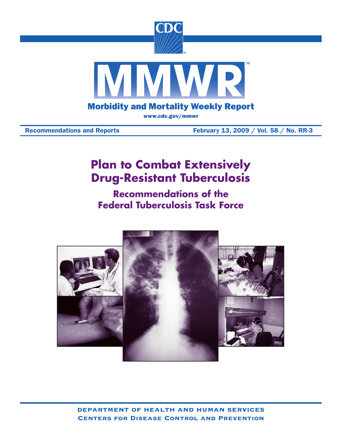

Recommendations and Reports February 13, 2009 / Vol. 58 / No. RR-3

# **Plan to Combat Extensively Drug-Resistant Tuberculosis**

**Recommendations of the Federal Tuberculosis Task Force**



department of health and human services Centers for Disease Control and Prevention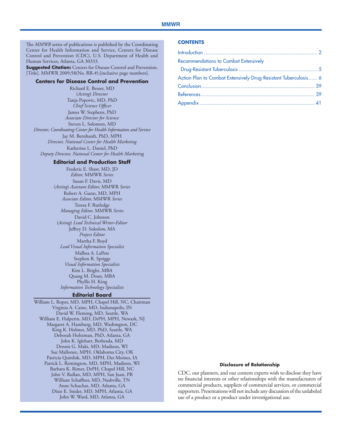The *MMWR* series of publications is published by the Coordinating Center for Health Information and Service, Centers for Disease Control and Prevention (CDC), U.S. Department of Health and Human Services, Atlanta, GA 30333.

**Suggested Citation:** Centers for Disease Control and Prevention. [Title]. MMWR 2009;58(No. RR-#):[inclusive page numbers].

#### **Centers for Disease Control and Prevention**

Richard E. Besser, MD (*Acting*) *Director* Tanja Popovic, MD, PhD *Chief Science Officer* James W. Stephens, PhD *Associate Director for Science*

Steven L. Solomon, MD *Director, Coordinating Center for Health Information and Service* Jay M. Bernhardt, PhD, MPH *Director, National Center for Health Marketing* Katherine L. Daniel, PhD *Deputy Director, National Center for Health Marketing*

#### **Editorial and Production Staff**

Frederic E. Shaw, MD, JD *Editor,* MMWR *Series* Susan F. Davis, MD (*Acting*) *Assistant Editor,* MMWR *Series* Robert A. Gunn, MD, MPH *Associate Editor,* MMWR *Series* Teresa F. Rutledge *Managing Editor,* MMWR *Series* David C. Johnson (*Acting*) *Lead Technical Writer-Editor* Jeffrey D. Sokolow, MA *Project Editor* Martha F. Boyd *Lead Visual Information Specialist*

Malbea A. LaPete Stephen R. Spriggs *Visual Information Specialists* Kim L. Bright, MBA Quang M. Doan, MBA Phyllis H. King *Information Technology Specialists*

#### **Editorial Board**

William L. Roper, MD, MPH, Chapel Hill, NC, Chairman Virginia A. Caine, MD, Indianapolis, IN David W. Fleming, MD, Seattle, WA William E. Halperin, MD, DrPH, MPH, Newark, NJ Margaret A. Hamburg, MD, Washington, DC King K. Holmes, MD, PhD, Seattle, WA Deborah Holtzman, PhD, Atlanta, GA John K. Iglehart, Bethesda, MD Dennis G. Maki, MD, Madison, WI Sue Mallonee, MPH, Oklahoma City, OK Patricia Quinlisk, MD, MPH, Des Moines, IA Patrick L. Remington, MD, MPH, Madison, WI Barbara K. Rimer, DrPH, Chapel Hill, NC John V. Rullan, MD, MPH, San Juan, PR William Schaffner, MD, Nashville, TN Anne Schuchat, MD, Atlanta, GA Dixie E. Snider, MD, MPH, Atlanta, GA John W. Ward, MD, Atlanta, GA

#### **Contents**

| <b>Recommendations to Combat Extensively</b>                    |  |
|-----------------------------------------------------------------|--|
|                                                                 |  |
| Action Plan to Combat Extensively Drug-Resistant Tuberculosis 6 |  |
|                                                                 |  |
|                                                                 |  |
|                                                                 |  |

#### **Disclosure of Relationship**

CDC, our planners, and our content experts wish to disclose they have no financial interests or other relationships with the manufacturers of commercial products, suppliers of commercial services, or commercial supporters. Presentations will not include any discussion of the unlabeled use of a product or a product under investigational use.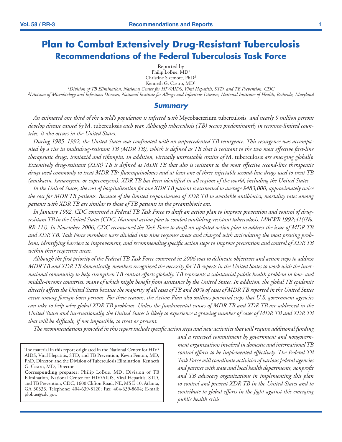# **Plan to Combat Extensively Drug-Resistant Tuberculosis Recommendations of the Federal Tuberculosis Task Force**

Reported by Philip LoBue, MD<sup>1</sup> Christine Sizemore, PhD2 Kenneth G. Castro, MD1

*1Division of TB Elimination, National Center for HIV/AIDS, Viral Hepatitis, STD, and TB Prevention, CDC 2Division of Microbiology and Infectious Diseases, National Institute for Allergy and Infectious Diseases, National Institutes of Health, Bethesda, Maryland*

### *Summary*

*An estimated one third of the world's population is infected with* Mycobacterium tuberculosis*, and nearly 9 million persons develop disease caused by* M. tuberculosis *each year. Although tuberculosis (TB) occurs predominantly in resource-limited countries, it also occurs in the United States.*

*During 1985–1992, the United States was confronted with an unprecedented TB resurgence. This resurgence was accompanied by a rise in multidrug-resistant TB (MDR TB), which is defined as TB that is resistant to the two most effective first-line therapeutic drugs, isoniazid and rifampin. In addition, virtually untreatable strains of* M. tuberculosis *are emerging globally. Extensively drug-resistant (XDR) TB is defined as MDR TB that also is resistant to the most effective second-line therapeutic drugs used commonly to treat MDR TB: fluoroquinolones and at least one of three injectable second-line drugs used to treat TB (amikacin, kanamycin, or capreomycin). XDR TB has been identified in all regions of the world, including the United States.*

*In the United States, the cost of hospitalization for one XDR TB patient is estimated to average \$483,000, approximately twice the cost for MDR TB patients. Because of the limited responsiveness of XDR TB to available antibiotics, mortality rates among patients with XDR TB are similar to those of TB patients in the preantibiotic era.*

*In January 1992, CDC convened a Federal TB Task Force to draft an action plan to improve prevention and control of drugresistant TB in the United States (CDC. National action plan to combat multidrug-resistant tuberculosis. MMWR 1992;41([No. RR-11]). In November 2006, CDC reconvened the Task Force to draft an updated action plan to address the issue of MDR TB and XDR TB. Task Force members were divided into nine response areas and charged with articulating the most pressing problems, identifying barriers to improvement, and recommending specific action steps to improve prevention and control of XDR TB within their respective areas.*

*Although the first priority of the Federal TB Task Force convened in 2006 was to delineate objectives and action steps to address MDR TB and XDR TB domestically, members recognized the necessity for TB experts in the United States to work with the international community to help strengthen TB control efforts globally. TB represents a substantial public health problem in low- and middle-income countries, many of which might benefit from assistance by the United States. In addition, the global TB epidemic directly affects the United States because the majority of all cases of TB and 80% of cases of MDR TB reported in the United States occur among foreign-born persons. For these reasons, the Action Plan also outlines potential steps that U.S. government agencies can take to help solve global XDR TB problems. Unless the fundamental causes of MDR TB and XDR TB are addressed in the United States and internationally, the United States is likely to experience a growing number of cases of MDR TB and XDR TB that will be difficult, if not impossible, to treat or prevent.*

*The recommendations provided in this report include specific action steps and new activities that will require additional funding* 

*and a renewed commitment by government and nongovernment organizations involved in domestic and international TB control efforts to be implemented effectively. The Federal TB Task Force will coordinate activities of various federal agencies and partner with state and local health departments, nonprofit and TB advocacy organizations in implementing this plan to control and prevent XDR TB in the United States and to contribute to global efforts in the fight against this emerging public health crisis.*

The material in this report originated in the National Center for HIV/ AIDS, Viral Hepatitis, STD, and TB Prevention, Kevin Fenton, MD, PhD, Director, and the Division of Tuberculosis Elimination, Kenneth G. Castro, MD, Director.

**Corresponding preparer:** Philip LoBue, MD, Division of TB Elimination, National Center for HIV/AIDS, Viral Hepatitis, STD, and TB Prevention, CDC, 1600 Clifton Road, NE, MS E-10, Atlanta, GA 30333. Telephone: 404-639-8120; Fax: 404-639-8604; E-mail: plobue@cdc.gov.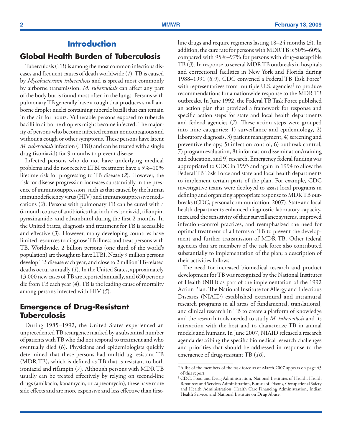## **Introduction**

## <span id="page-3-0"></span>**Global Health Burden of Tuberculosis**

Tuberculosis (TB) is among the most common infectious diseases and frequent causes of death worldwide (*1*). TB is caused by *Mycobacterium tuberculosis* and is spread most commonly by airborne transmission. *M. tuberculosis* can affect any part of the body but is found most often in the lungs. Persons with pulmonary TB generally have a cough that produces small airborne droplet nuclei containing tubercle bacilli that can remain in the air for hours. Vulnerable persons exposed to tubercle bacilli in airborne droplets might become infected. The majority of persons who become infected remain noncontagious and without a cough or other symptoms. These persons have latent *M. tuberculosis* infection (LTBI) and can be treated with a single drug (isoniazid) for 9 months to prevent disease.

Infected persons who do not have underlying medical problems and do not receive LTBI treatment have a 5%–10% lifetime risk for progressing to TB disease (*2*). However, the risk for disease progression increases substantially in the presence of immunosuppression, such as that caused by the human immunodeficiency virus (HIV) and immunosuppressive medications (*2*). Persons with pulmonary TB can be cured with a 6-month course of antibiotics that includes isoniazid, rifampin, pyrazinamide, and ethambutol during the first 2 months. In the United States, diagnosis and treatment for TB is accessible and effective (*3*). However, many developing countries have limited resources to diagnose TB illness and treat persons with TB. Worldwide, 2 billion persons (one third of the world's population) are thought to have LTBI. Nearly 9 million persons develop TB disease each year, and close to 2 million TB-related deaths occur annually (*1*). In the United States, approximately 13,000 new cases of TB are reported annually, and 650 persons die from TB each year (*4*). TB is the leading cause of mortality among persons infected with HIV (*5*).

## **Emergence of Drug-Resistant Tuberculosis**

During 1985–1992, the United States experienced an unprecedented TB resurgence marked by a substantial number of patients with TB who did not respond to treatment and who eventually died (*6*). Physicians and epidemiologists quickly determined that these persons had multidrug-resistant TB (MDR TB), which is defined as TB that is resistant to both isoniazid and rifampin (*7*). Although persons with MDR TB usually can be treated effectively by relying on second-line drugs (amikacin, kanamycin, or capreomycin), these have more side effects and are more expensive and less effective than firstline drugs and require regimens lasting 18–24 months (*3*). In addition, the cure rate for persons with MDR TB is 50%–60%, compared with 95%–97% for persons with drug-susceptible TB (*3*). In response to several MDR TB outbreaks in hospitals and correctional facilities in New York and Florida during 1988–1991 (*8,9*), CDC convened a Federal TB Task Force\* with representatives from multiple U.S. agencies<sup>†</sup> to produce recommendations for a nationwide response to the MDR TB outbreaks. In June 1992, the Federal TB Task Force published an action plan that provided a framework for response and specific action steps for state and local health departments and federal agencies (*7*). These action steps were grouped into nine categories: 1) surveillance and epidemiology, 2) laboratory diagnosis, 3) patient management, 4) screening and preventive therapy, 5) infection control, 6) outbreak control, 7) program evaluation, 8) information dissemination/training and education, and 9) research. Emergency federal funding was appropriated to CDC in 1993 and again in 1994 to allow the Federal TB Task Force and state and local health departments to implement certain parts of the plan. For example, CDC investigative teams were deployed to assist local programs in defining and organizing appropriate response to MDR TB outbreaks (CDC, personal communication, 2007). State and local health departments enhanced diagnostic laboratory capacity, increased the sensitivity of their surveillance systems, improved infection-control practices, and reemphasized the need for optimal treatment of all forms of TB to prevent the development and further transmission of MDR TB. Other federal agencies that are members of the task force also contributed substantially to implementation of the plan; a description of their activities follows.

The need for increased biomedical research and product development for TB was recognized by the National Institutes of Health (NIH) as part of the implementation of the 1992 Action Plan. The National Institute for Allergy and Infectious Diseases (NIAID) established extramural and intramural research programs in all areas of fundamental, translational, and clinical research in TB to create a platform of knowledge and the research tools needed to study *M. tuberculosis* and its interaction with the host and to characterize TB in animal models and humans. In June 2007, NIAID released a research agenda describing the specific biomedical research challenges and priorities that should be addressed in response to the emergence of drug-resistant TB (*10*).

<sup>\*</sup>A list of the members of the task force as of March 2007 appears on page 43 of this report.

<sup>†</sup> CDC, Food and Drug Administration, National Institutes of Health, Health Resources and Services Administration, Bureau of Prisons, Occupational Safety and Health Administration, Health Care Financing Administration, Indian Health Service, and National Institute on Drug Abuse.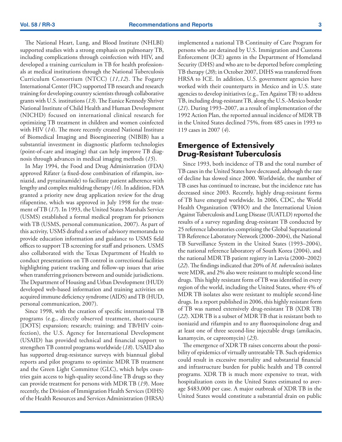The National Heart, Lung, and Blood Institute (NHLBI) supported studies with a strong emphasis on pulmonary TB, including complications through coinfection with HIV, and developed a training curriculum in TB for health professionals at medical institutions through the National Tuberculosis Curriculum Consortium (NTCC) (*11,12*). The Fogarty International Center (FIC) supported TB research and research training for developing country scientists through collaborative grants with U.S. institutions (*13*). The Eunice Kennedy Shriver National Institute of Child Health and Human Development (NICHD) focused on international clinical research for optimizing TB treatment in children and women coinfected with HIV (*14*). The more recently created National Institute of Biomedical Imaging and Bioengineering (NIBIB) has a substantial investment in diagnostic platform technologies (point-of-care and imaging) that can help improve TB diagnosis through advances in medical imaging methods (*15*).

In May 1994, the Food and Drug Administration (FDA) approved Rifater (a fixed-dose combination of rifampin, isoniazid, and pyrazinamide) to facilitate patient adherence with lengthy and complex multidrug therapy (*16*). In addition, FDA granted a priority new drug application review for the drug rifapentine, which was approved in July 1998 for the treatment of TB (*17*). In 1993, the United States Marshals Service (USMS) established a formal medical program for prisoners with TB (USMS, personal communication, 2007). As part of this activity, USMS drafted a series of advisory memoranda to provide education information and guidance to USMS field offices to support TB screening for staff and prisoners. USMS also collaborated with the Texas Department of Health to conduct presentations on TB control in correctional facilities highlighting patient tracking and follow-up issues that arise when transferring prisoners between and outside jurisdictions. The Department of Housing and Urban Development (HUD) developed web-based information and training activities on acquired immune deficiency syndrome (AIDS) and TB (HUD, personal communication, 2007).

Since 1998, with the creation of specific international TB programs (e.g., directly observed treatment, short-course [DOTS] expansion; research; training; and TB/HIV coinfection), the U.S. Agency for International Development (USAID) has provided technical and financial support to strengthen TB control programs worldwide (*18*). USAID also has supported drug-resistance surveys with biannual global reports and pilot programs to optimize MDR TB treatment and the Green Light Committee (GLC), which helps countries gain access to high-quality second-line TB drugs so they can provide treatment for persons with MDR TB (*19*). More recently, the Division of Immigration Health Services (DIHS) of the Health Resources and Services Administration (HRSA) implemented a national TB Continuity of Care Program for persons who are detained by U.S. Immigration and Customs Enforcement (ICE) agents in the Department of Homeland Security (DHS) and who are to be deported before completing TB therapy (*20*); in October 2007, DIHS was transferred from HRSA to ICE. In addition, U.S. government agencies have worked with their counterparts in Mexico and in U.S. state agencies to develop initiatives (e.g., Ten Against TB) to address TB, including drug-resistant TB, along the U.S.-Mexico border (*21*). During 1993–2007, as a result of implementation of the 1992 Action Plan, the reported annual incidence of MDR TB in the United States declined 75%, from 485 cases in 1993 to 119 cases in 2007 (*4*).

## **Emergence of Extensively Drug-Resistant Tuberculosis**

Since 1993, both incidence of TB and the total number of TB cases in the United States have decreased, although the rate of decline has slowed since 2000. Worldwide, the number of TB cases has continued to increase, but the incidence rate has decreased since 2003. Recently, highly drug-resistant forms of TB have emerged worldwide. In 2006, CDC, the World Health Organization (WHO) and the International Union Against Tuberculosis and Lung Disease (IUATLD) reported the results of a survey regarding drug-resistant TB conducted by 25 reference laboratories comprising the Global Supranational TB Reference Laboratory Network (2000–2004), the National TB Surveillance System in the United States (1993–2004), the national reference laboratory of South Korea (2004), and the national MDR TB patient registry in Latvia (2000–2002) (*22*). The findings indicated that 20% of *M. tuberculosis* isolates were MDR, and 2% also were resistant to multiple second-line drugs. This highly resistant form of TB was identified in every region of the world, including the United States, where 4% of MDR TB isolates also were resistant to multiple second-line drugs. In a report published in 2006, this highly resistant form of TB was named extensively drug-resistant TB (XDR TB) (*22*). XDR TB is a subset of MDR TB that is resistant both to isoniazid and rifampin and to any fluoroquinolone drug and at least one of three second-line injectable drugs (amikacin, kanamycin, or capreomycin) (*23*).

The emergence of XDR TB raises concerns about the possibility of epidemics of virtually untreatable TB. Such epidemics could result in excessive mortality and substantial financial and infrastructure burden for public health and TB control programs. XDR TB is much more expensive to treat, with hospitalization costs in the United States estimated to average \$483,000 per case. A major outbreak of XDR TB in the United States would constitute a substantial drain on public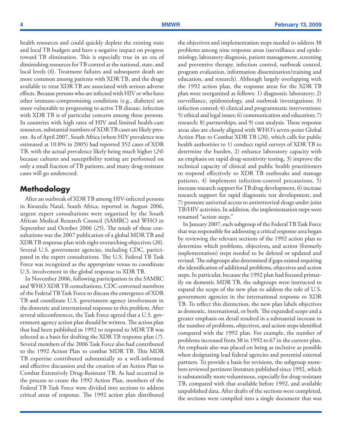health resources and could quickly deplete the existing state and local TB budgets and have a negative impact on progress toward TB elimination. This is especially true in an era of diminishing resources for TB control at the national, state, and local levels (*6*). Treatment failures and subsequent death are more common among patients with XDR TB, and the drugs available to treat XDR TB are associated with serious adverse effects. Because persons who are infected with HIV or who have other immune-compromising conditions (e.g., diabetes) are more vulnerable to progressing to active TB disease, infection with XDR TB is of particular concern among these persons. In countries with high rates of HIV and limited health-care resources, substantial numbers of XDR TB cases are likely present. As of April 2007, South Africa (where HIV prevalence was estimated at 10.8% in 2005) had reported 352 cases of XDR TB, with the actual prevalence likely being much higher (*24*) because cultures and susceptibility testing are performed on only a small fraction of TB patients, and many drug-resistant cases will go undetected.

## **Methodology**

After an outbreak of XDR TB among HIV-infected persons in Kwazulu Natal, South Africa, reported in August 2006, urgent expert consultations were organized by the South African Medical Research Council (SAMRC) and WHO in September and October 2006 (*25*). The result of these consultations was the 2007 publication of a global MDR TB and XDR TB response plan with eight overarching objectives (*26*). Several U.S. government agencies, including CDC, participated in the expert consultations. The U.S. Federal TB Task Force was recognized as the appropriate venue to coordinate U.S. involvement in the global response to XDR TB.

In November 2006, following participation in the SAMRC and WHO XDR TB consultations, CDC convened members of the Federal TB Task Force to discuss the emergence of XDR TB and coordinate U.S. government agency involvement in the domestic and international response to this problem. After several teleconferences, the Task Force agreed that a U.S. government agency action plan should be written. The action plan that had been published in 1992 to respond to MDR TB was selected as a basis for drafting the XDR TB response plan (*7*). Several members of the 2006 Task Force also had contributed to the 1992 Action Plan to combat MDR TB. This MDR TB expertise contributed substantially to a well-informed and effective discussion and the creation of an Action Plan to Combat Extensively Drug-Resistant TB. As had occurred in the process to create the 1992 Action Plan, members of the Federal TB Task Force were divided into sections to address critical areas of response. The 1992 action plan distributed the objectives and implementation steps needed to address 38 problems among nine response areas (surveillance and epidemiology, laboratory diagnosis, patient management, screening and preventive therapy, infection control, outbreak control, program evaluation, information dissemination/training and education, and research). Although largely overlapping with the 1992 action plan, the response areas for the XDR TB plan were reorganized as follows: 1) diagnostic laboratory; 2) surveillance, epidemiology, and outbreak investigations; 3) infection control; 4) clinical and programmatic interventions; 5) ethical and legal issues; 6) communication and education; 7) research; 8) partnerships; and 9) cost analysis. These response areas also are closely aligned with WHO's seven-point Global Action Plan to Combat XDR TB (*26*), which calls for public health authorities to 1) conduct rapid surveys of XDR TB to determine the burden, 2) enhance laboratory capacity with an emphasis on rapid drug-sensitivity testing, 3) improve the technical capacity of clinical and public health practitioners to respond effectively to XDR TB outbreaks and manage patients, 4) implement infection-control precautions, 5) increase research support for TB drug development, 6) increase research support for rapid diagnostic test development, and 7) promote universal access to antiretroviral drugs under joint TB/HIV activities. In addition, the implementation steps were renamed "action steps."

In January 2007, each subgroup of the Federal TB Task Force that was responsible for addressing a critical response area began by reviewing the relevant sections of the 1992 action plan to determine which problems, objectives**,** and action (formerly implementation) steps needed to be deleted or updated and revised. The subgroups also determined if gaps existed requiring the identification of additional problems, objectives and action steps. In particular, because the 1992 plan had focused primarily on domestic MDR TB, the subgroups were instructed to expand the scope of the new plan to address the role of U.S. government agencies in the international response to XDR TB. To reflect this distinction, the new plan labels objectives as domestic, international, or both. The expanded scope and a greater emphasis on detail resulted in a substantial increase in the number of problems, objectives, and action steps identified compared with the 1992 plan. For example, the number of problems increased from 38 in 1992 to 67 in the current plan. An emphasis also was placed on being as inclusive as possible when designating lead federal agencies and potential external partners. To provide a basis for revisions, the subgroup members reviewed pertinent literature published since 1992, which is substantially more voluminous, especially for drug-resistant TB, compared with that available before 1992, and available unpublished data. After drafts of the sections were completed, the sections were compiled into a single document that was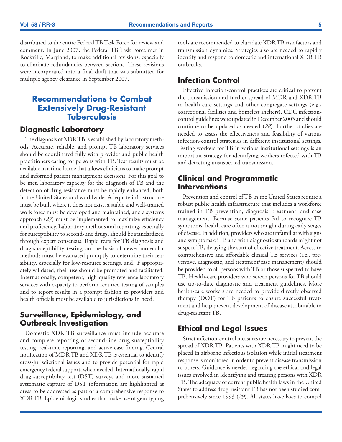<span id="page-6-0"></span>distributed to the entire Federal TB Task Force for review and comment. In June 2007, the Federal TB Task Force met in Rockville, Maryland, to make additional revisions, especially to eliminate redundancies between sections. These revisions were incorporated into a final draft that was submitted for multiple agency clearance in September 2007.

## **Recommendations to Combat Extensively Drug-Resistant Tuberculosis**

## **Diagnostic Laboratory**

The diagnosis of XDR TB is established by laboratory methods. Accurate, reliable, and prompt TB laboratory services should be coordinated fully with provider and public health practitioners caring for persons with TB. Test results must be available in a time frame that allows clinicians to make prompt and informed patient management decisions. For this goal to be met, laboratory capacity for the diagnosis of TB and the detection of drug resistance must be rapidly enhanced, both in the United States and worldwide. Adequate infrastructure must be built where it does not exist, a stable and well-trained work force must be developed and maintained, and a systems approach (*27*) must be implemented to maximize efficiency and proficiency. Laboratory methods and reporting, especially for susceptibility to second-line drugs, should be standardized through expert consensus. Rapid tests for TB diagnosis and drug-susceptibility testing on the basis of newer molecular methods must be evaluated promptly to determine their feasibility, especially for low-resource settings, and, if appropriately validated, their use should be promoted and facilitated. Internationally, competent, high-quality reference laboratory services with capacity to perform required testing of samples and to report results in a prompt fashion to providers and health officials must be available to jurisdictions in need.

## **Surveillance, Epidemiology, and Outbreak Investigation**

Domestic XDR TB surveillance must include accurate and complete reporting of second-line drug-susceptibility testing, real-time reporting, and active case finding. Central notification of MDR TB and XDR TB is essential to identify cross-jurisdictional issues and to provide potential for rapid emergency federal support, when needed. Internationally, rapid drug-susceptibility test (DST) surveys and more sustained systematic capture of DST information are highlighted as areas to be addressed as part of a comprehensive response to XDR TB. Epidemiologic studies that make use of genotyping tools are recommended to elucidate XDR TB risk factors and transmission dynamics. Strategies also are needed to rapidly identify and respond to domestic and international XDR TB outbreaks.

## **Infection Control**

Effective infection-control practices are critical to prevent the transmission and further spread of MDR and XDR TB in health-care settings and other congregate settings (e.g., correctional facilities and homeless shelters). CDC infectioncontrol guidelines were updated in December 2005 and should continue to be updated as needed (*28*). Further studies are needed to assess the effectiveness and feasibility of various infection-control strategies in different institutional settings. Testing workers for TB in various institutional settings is an important strategy for identifying workers infected with TB and detecting unsuspected transmission.

## **Clinical and Programmatic Interventions**

Prevention and control of TB in the United States require a robust public health infrastructure that includes a workforce trained in TB prevention, diagnosis, treatment, and case management. Because some patients fail to recognize TB symptoms, health care often is not sought during early stages of disease. In addition, providers who are unfamiliar with signs and symptoms of TB and with diagnostic standards might not suspect TB, delaying the start of effective treatment. Access to comprehensive and affordable clinical TB services (i.e., preventive, diagnostic, and treatment/case management) should be provided to all persons with TB or those suspected to have TB. Health-care providers who screen persons for TB should use up-to-date diagnostic and treatment guidelines. More health-care workers are needed to provide directly observed therapy (DOT) for TB patients to ensure successful treatment and help prevent development of disease attributable to drug-resistant TB.

## **Ethical and Legal Issues**

Strict infection-control measures are necessary to prevent the spread of XDR TB. Patients with XDR TB might need to be placed in airborne infectious isolation while initial treatment response is monitored in order to prevent disease transmission to others. Guidance is needed regarding the ethical and legal issues involved in identifying and treating persons with XDR TB. The adequacy of current public health laws in the United States to address drug-resistant TB has not been studied comprehensively since 1993 (*29*). All states have laws to compel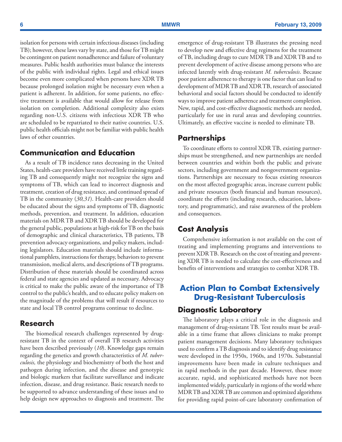<span id="page-7-0"></span>isolation for persons with certain infectious diseases (including TB); however, these laws vary by state, and those for TB might be contingent on patient nonadherence and failure of voluntary measures. Public health authorities must balance the interests of the public with individual rights. Legal and ethical issues become even more complicated when persons have XDR TB because prolonged isolation might be necessary even when a patient is adherent. In addition, for some patients, no effective treatment is available that would allow for release from isolation on completion. Additional complexity also exists regarding non-U.S. citizens with infectious XDR TB who are scheduled to be repatriated to their native countries. U.S. public health officials might not be familiar with public health laws of other countries.

## **Communication and Education**

As a result of TB incidence rates decreasing in the United States, health-care providers have received little training regarding TB and consequently might not recognize the signs and symptoms of TB, which can lead to incorrect diagnosis and treatment, creation of drug resistance, and continued spread of TB in the community (*30,31*). Health-care providers should be educated about the signs and symptoms of TB, diagnostic methods, prevention, and treatment. In addition, education materials on MDR TB and XDR TB should be developed for the general public, populations at high-risk for TB on the basis of demographic and clinical characteristics, TB patients, TB prevention advocacy organizations, and policy makers, including legislators. Education materials should include informational pamphlets, instructions for therapy, behaviors to prevent transmission, medical alerts, and descriptions of TB programs. Distribution of these materials should be coordinated across federal and state agencies and updated as necessary. Advocacy is critical to make the public aware of the importance of TB control to the public's health, and to educate policy makers on the magnitude of the problems that will result if resources to state and local TB control programs continue to decline.

## **Research**

The biomedical research challenges represented by drugresistant TB in the context of overall TB research activities have been described previously (*10*). Knowledge gaps remain regarding the genetics and growth characteristics of *M. tuberculosis,* the physiology and biochemistry of both the host and pathogen during infection, and the disease and genotypic and biologic markers that facilitate surveillance and indicate infection, disease, and drug resistance. Basic research needs to be supported to advance understanding of these issues and to help design new approaches to diagnosis and treatment. The emergence of drug-resistant TB illustrates the pressing need to develop new and effective drug regimens for the treatment of TB, including drugs to cure MDR TB and XDR TB and to prevent development of active disease among persons who are infected latently with drug-resistant *M. tuberculosis*. Because poor patient adherence to therapy is one factor that can lead to development of MDR TB and XDR TB, research of associated behavioral and social factors should be conducted to identify ways to improve patient adherence and treatment completion. New, rapid, and cost-effective diagnostic methods are needed, particularly for use in rural areas and developing countries. Ultimately, an effective vaccine is needed to eliminate TB.

## **Partnerships**

To coordinate efforts to control XDR TB, existing partnerships must be strengthened, and new partnerships are needed between countries and within both the public and private sectors, including government and nongovernment organizations. Partnerships are necessary to focus existing resources on the most affected geographic areas, increase current public and private resources (both financial and human resources), coordinate the efforts (including research, education, laboratory, and programmatic), and raise awareness of the problem and consequences.

## **Cost Analysis**

Comprehensive information is not available on the cost of treating and implementing programs and interventions to prevent XDR TB. Research on the cost of treating and preventing XDR TB is needed to calculate the cost-effectiveness and benefits of interventions and strategies to combat XDR TB.

## **Action Plan to Combat Extensively Drug-Resistant Tuberculosis**

## **Diagnostic Laboratory**

The laboratory plays a critical role in the diagnosis and management of drug-resistant TB. Test results must be available in a time frame that allows clinicians to make prompt patient management decisions. Many laboratory techniques used to confirm a TB diagnosis and to identify drug resistance were developed in the 1950s, 1960s, and 1970s. Substantial improvements have been made in culture techniques and in rapid methods in the past decade. However, these more accurate, rapid, and sophisticated methods have not been implemented widely, particularly in regions of the world where MDR TB and XDR TB are common and optimized algorithms for providing rapid point-of-care laboratory confirmation of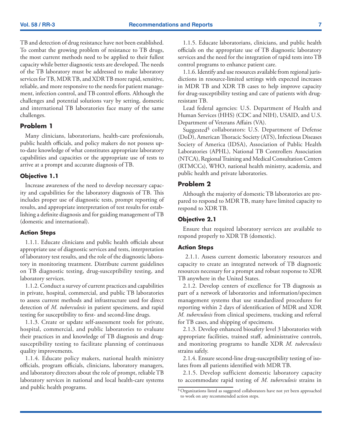TB and detection of drug resistance have not been established. To combat the growing problem of resistance to TB drugs, the most current methods need to be applied to their fullest capacity while better diagnostic tests are developed. The needs of the TB laboratory must be addressed to make laboratory services for TB, MDR TB, and XDR TB more rapid, sensitive, reliable, and more responsive to the needs for patient management, infection control, and TB control efforts. Although the challenges and potential solutions vary by setting, domestic and international TB laboratories face many of the same challenges.

### **Problem 1**

Many clinicians, laboratorians, health-care professionals, public health officials, and policy makers do not possess upto-date knowledge of what constitutes appropriate laboratory capabilities and capacities or the appropriate use of tests to arrive at a prompt and accurate diagnosis of TB.

#### **Objective 1.1**

Increase awareness of the need to develop necessary capacity and capabilities for the laboratory diagnosis of TB. This includes proper use of diagnostic tests, prompt reporting of results, and appropriate interpretation of test results for establishing a definite diagnosis and for guiding management of TB (domestic and international).

## **Action Steps**

1.1.1. Educate clinicians and public health officials about appropriate use of diagnostic services and tests, interpretation of laboratory test results, and the role of the diagnostic laboratory in monitoring treatment. Distribute current guidelines on TB diagnostic testing, drug-susceptibility testing, and laboratory services.

1.1.2. Conduct a survey of current practices and capabilities in private, hospital, commercial, and public TB laboratories to assess current methods and infrastructure used for direct detection of *M. tuberculosis* in patient specimens, and rapid testing for susceptibility to first- and second-line drugs.

1.1.3. Create or update self-assessment tools for private, hospital, commercial, and public laboratories to evaluate their practices in and knowledge of TB diagnosis and drugsusceptibility testing to facilitate planning of continuous quality improvements.

1.1.4. Educate policy makers, national health ministry officials, program officials, clinicians, laboratory managers, and laboratory directors about the role of prompt, reliable TB laboratory services in national and local health-care systems and public health programs.

1.1.5. Educate laboratorians, clinicians, and public health officials on the appropriate use of TB diagnostic laboratory services and the need for the integration of rapid tests into TB control programs to enhance patient care.

1.1.6. Identify and use resources available from regional jurisdictions in resource-limited settings with expected increases in MDR TB and XDR TB cases to help improve capacity for drug-susceptibility testing and care of patients with drugresistant TB.

Lead federal agencies: U.S. Department of Health and Human Services (HHS) (CDC and NIH), USAID, and U.S. Department of Veterans Affairs (VA).

Suggested§ collaborators: U.S. Department of Defense (DoD), American Thoracic Society (ATS), Infectious Diseases Society of America (IDSA), Association of Public Health Laboratories (APHL), National TB Controllers Association (NTCA), Regional Training and Medical Consultation Centers (RTMCCs), WHO, national health ministry, academia, and public health and private laboratories.

## **Problem 2**

Although the majority of domestic TB laboratories are prepared to respond to MDR TB, many have limited capacity to respond to XDR TB.

### **Objective 2.1**

Ensure that required laboratory services are available to respond properly to XDR TB (domestic).

#### **Action Steps**

 2.1.1. Assess current domestic laboratory resources and capacity to create an integrated network of TB diagnostic resources necessary for a prompt and robust response to XDR TB anywhere in the United States.

2.1.2. Develop centers of excellence for TB diagnosis as part of a network of laboratories and information/specimen management systems that use standardized procedures for reporting within 2 days of identification of MDR and XDR *M. tuberculosis* from clinical specimens, tracking and referral for TB cases, and shipping of specimens.

2.1.3. Develop enhanced biosafety level 3 laboratories with appropriate facilities, trained staff, administrative controls, and monitoring programs to handle XDR *M. tuberculosis* strains safely.

2.1.4. Ensure second-line drug-susceptibility testing of isolates from all patients identified with MDR TB.

2.1.5. Develop sufficient domestic laboratory capacity to accommodate rapid testing of *M. tuberculosis* strains in

<sup>§</sup> Organizations listed as suggested collaborators have not yet been approached to work on any recommended action steps.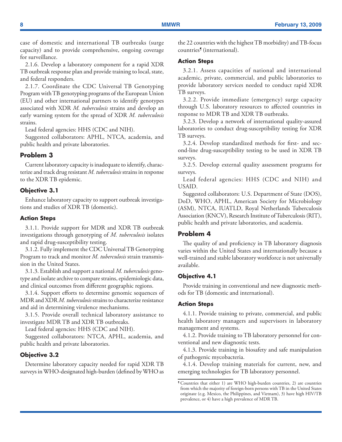case of domestic and international TB outbreaks (surge capacity) and to provide comprehensive, ongoing coverage for surveillance.

2.1.6. Develop a laboratory component for a rapid XDR TB outbreak response plan and provide training to local, state, and federal responders.

2.1.7. Coordinate the CDC Universal TB Genotyping Program with TB genotyping programs of the European Union (EU) and other international partners to identify genotypes associated with XDR *M. tuberculosis* strains and develop an early warning system for the spread of XDR *M. tuberculosis* strains.

Lead federal agencies: HHS (CDC and NIH).

Suggested collaborators: APHL, NTCA, academia, and public health and private laboratories.

## **Problem 3**

Current laboratory capacity is inadequate to identify, characterize and track drug resistant *M. tuberculosis* strains in response to the XDR TB epidemic.

### **Objective 3.1**

Enhance laboratory capacity to support outbreak investigations and studies of XDR TB (domestic).

## **Action Steps**

3.1.1. Provide support for MDR and XDR TB outbreak investigations through genotyping of *M. tuberculosis* isolates and rapid drug-susceptibility testing.

3.1.2. Fully implement the CDC Universal TB Genotyping Program to track and monitor *M. tuberculosis* strain transmission in the United States.

3.1.3. Establish and support a national *M. tuberculosis* genotype and isolate archive to compare strains, epidemiologic data, and clinical outcomes from different geographic regions.

3.1.4. Support efforts to determine genomic sequences of MDR and XDR *M. tuberculosis* strains to characterize resistance and aid in determining virulence mechanisms.

3.1.5. Provide overall technical laboratory assistance to investigate MDR TB and XDR TB outbreaks.

Lead federal agencies: HHS (CDC and NIH).

Suggested collaborators: NTCA, APHL, academia, and public health and private laboratories.

#### **Objective 3.2**

Determine laboratory capacity needed for rapid XDR TB surveys in WHO-designated high-burden (defined by WHO as the 22 countries with the highest TB morbidity) and TB-focus countries¶ (international).

#### **Action Steps**

3.2.1. Assess capacities of national and international academic, private, commercial, and public laboratories to provide laboratory services needed to conduct rapid XDR TB surveys.

3.2.2. Provide immediate (emergency) surge capacity through U.S. laboratory resources to affected countries in response to MDR TB and XDR TB outbreaks.

3.2.3. Develop a network of international quality-assured laboratories to conduct drug-susceptibility testing for XDR TB surveys.

3.2.4. Develop standardized methods for first- and second-line drug-susceptibility testing to be used in XDR TB surveys.

3.2.5. Develop external quality assessment programs for surveys.

Lead federal agencies: HHS (CDC and NIH) and USAID.

Suggested collaborators: U.S. Department of State (DOS), DoD, WHO, APHL, American Society for Microbiology (ASM), NTCA, IUATLD, Royal Netherlands Tuberculosis Association (KNCV), Research Institute of Tuberculosis (RIT), public health and private laboratories, and academia.

### **Problem 4**

The quality of and proficiency in TB laboratory diagnosis varies within the United States and internationally because a well-trained and stable laboratory workforce is not universally available.

#### **Objective 4.1**

Provide training in conventional and new diagnostic methods for TB (domestic and international).

### **Action Steps**

4.1.1. Provide training to private, commercial, and public health laboratory managers and supervisors in laboratory management and systems.

4.1.2. Provide training to TB laboratory personnel for conventional and new diagnostic tests.

4.1.3. Provide training in biosafety and safe manipulation of pathogenic mycobacteria.

4.1.4. Develop training materials for current, new, and emerging technologies for TB laboratory personnel.

<sup>¶</sup> Countries that either 1) are WHO high-burden countries, 2) are countries from which the majority of foreign-born persons with TB in the United States originate (e.g. Mexico, the Philippines, and Vietnam), 3) have high HIV/TB prevalence, or 4) have a high prevalence of MDR TB.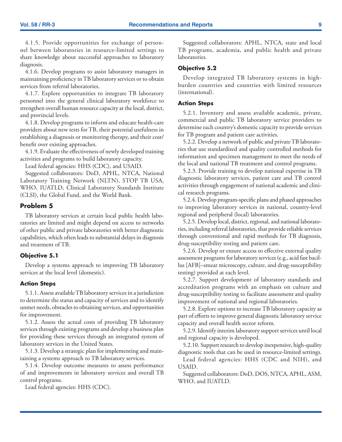4.1.5. Provide opportunities for exchange of personnel between laboratories in resource-limited settings to share knowledge about successful approaches to laboratory diagnosis.

4.1.6. Develop programs to assist laboratory managers in maintaining proficiency in TB laboratory services or to obtain services from referral laboratories.

4.1.7. Explore opportunities to integrate TB laboratory personnel into the general clinical laboratory workforce to strengthen overall human resource capacity at the local, district, and provincial levels.

4.1.8. Develop programs to inform and educate health-care providers about new tests for TB, their potential usefulness in establishing a diagnosis or monitoring therapy, and their cost/ benefit over existing approaches.

4.1.9. Evaluate the effectiveness of newly developed training activities and programs to build laboratory capacity.

Lead federal agencies: HHS (CDC), and USAID.

Suggested collaborators: DoD, APHL, NTCA, National Laboratory Training Network (NLTN), STOP TB USA, WHO, IUATLD, Clinical Laboratory Standards Institute (CLSI), the Global Fund, and the World Bank.

## **Problem 5**

TB laboratory services at certain local public health laboratories are limited and might depend on access to networks of other public and private laboratories with better diagnostic capabilities, which often leads to substantial delays in diagnosis and treatment of TB.

### **Objective 5.1**

Develop a systems approach to improving TB laboratory services at the local level (domestic).

#### **Action Steps**

5.1.1. Assess available TB laboratory services in a jurisdiction to determine the status and capacity of services and to identify unmet needs, obstacles to obtaining services, and opportunities for improvement.

5.1.2. Assess the actual costs of providing TB laboratory services through existing programs and develop a business plan for providing these services through an integrated system of laboratory services in the United States.

5.1.3. Develop a strategic plan for implementing and maintaining a systems approach to TB laboratory services.

5.1.4. Develop outcome measures to assess performance of and improvements in laboratory services and overall TB control programs.

Lead federal agencies: HHS (CDC).

Suggested collaborators: APHL, NTCA, state and local TB programs, academia, and public health and private laboratories.

### **Objective 5.2**

Develop integrated TB laboratory systems in highburden countries and countries with limited resources (international).

#### **Action Steps**

5.2.1. Inventory and assess available academic, private, commercial and public TB laboratory service providers to determine each country's domestic capacity to provide services for TB program and patient care activities.

5.2.2. Develop a network of public and private TB laboratories that use standardized and quality controlled methods for information and specimen management to meet the needs of the local and national TB treatment and control programs.

5.2.3. Provide training to develop national expertise in TB diagnostic laboratory services, patient care and TB control activities through engagement of national academic and clinical research programs.

5.2.4. Develop program-specific plans and phased approaches to improving laboratory services in national, country-level regional and peripheral (local) laboratories.

5.2.5. Develop local, district, regional, and national laboratories, including referral laboratories, that provide reliable services through conventional and rapid methods for TB diagnosis, drug-susceptibility testing and patient care.

5.2.6. Develop or ensure access to effective external quality assessment programs for laboratory services (e.g., acid fast bacillus [AFB]–smear microscopy, culture, and drug-susceptibility testing) provided at each level.

5.2.7. Support development of laboratory standards and accreditation programs with an emphasis on culture and drug-susceptibility testing to facilitate assessment and quality improvement of national and regional laboratories.

5.2.8. Explore options to increase TB laboratory capacity as part of efforts to improve general diagnostic laboratory service capacity and overall health sector reform.

5.2.9. Identify interim laboratory support services until local and regional capacity is developed.

5.2.10. Support research to develop inexpensive, high-quality diagnostic tools that can be used in resource-limited settings.

Lead federal agencies: HHS (CDC and NIH), and USAID.

Suggested collaborators: DoD, DOS, NTCA, APHL, ASM, WHO, and IUATLD.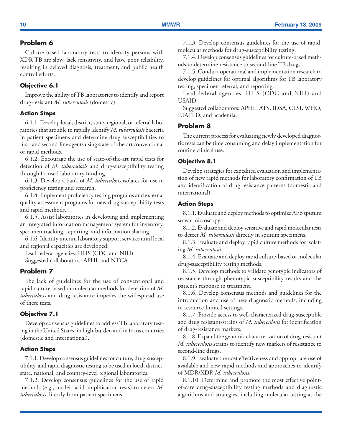## **Problem 6**

Culture-based laboratory tests to identify persons with XDR TB are slow, lack sensitivity, and have poor reliability, resulting in delayed diagnosis, treatment, and public health control efforts.

## **Objective 6.1**

Improve the ability of TB laboratories to identify and report drug-resistant *M. tuberculosis* (domestic).

## **Action Steps**

6.1.1. Develop local, district, state, regional, or referral laboratories that are able to rapidly identify *M. tuberculosis* bacteria in patient specimens and determine drug susceptibilities to first- and second-line agents using state-of-the-art conventional or rapid methods.

6.1.2. Encourage the use of state-of-the-art rapid tests for detection of *M. tuberculosis* and drug-susceptibility testing through focused laboratory funding.

6.1.3. Develop a bank of *M. tuberculosis* isolates for use in proficiency testing and research.

6.1.4. Implement proficiency testing programs and external quality assessment programs for new drug-susceptibility tests and rapid methods.

6.1.5. Assist laboratories in developing and implementing an integrated information management system for inventory, specimen tracking, reporting, and information sharing.

6.1.6. Identify interim laboratory support services until local and regional capacities are developed.

Lead federal agencies: HHS (CDC and NIH). Suggested collaborators: APHL and NTCA.

## **Problem 7**

The lack of guidelines for the use of conventional and rapid culture-based or molecular methods for detection of *M. tuberculosis* and drug resistance impedes the widespread use of these tests.

## **Objective 7.1**

Develop consensus guidelines to address TB laboratory testing in the United States, in high-burden and in focus countries (domestic and international).

## **Action Steps**

7.1.1. Develop consensus guidelines for culture, drug-susceptibility, and rapid diagnostic testing to be used in local, district, state, national, and country-level regional laboratories.

7.1.2. Develop consensus guidelines for the use of rapid methods (e.g., nucleic acid amplification tests) to detect *M. tuberculosis* directly from patient specimens.

7.1.3. Develop consensus guidelines for the use of rapid, molecular methods for drug-susceptibility testing.

7.1.4. Develop consensus guidelines for culture-based methods to determine resistance to second-line TB drugs.

7.1.5. Conduct operational and implementation research to develop guidelines for optimal algorithms for TB laboratory testing, specimen referral, and reporting.

Lead federal agencies: HHS (CDC and NIH) and USAID.

Suggested collaborators: APHL, ATS, IDSA, CLSI, WHO, IUATLD, and academia.

## **Problem 8**

The current process for evaluating newly developed diagnostic tests can be time consuming and delay implementation for routine clinical use.

## **Objective 8.1**

Develop strategies for expedited evaluation and implementation of new rapid methods for laboratory confirmation of TB and identification of drug-resistance patterns (domestic and international).

## **Action Steps**

8.1.1. Evaluate and deploy methods to optimize AFB sputum smear microscopy.

8.1.2. Evaluate and deploy sensitive and rapid molecular tests to detect *M. tuberculosis* directly in sputum specimens.

8.1.3. Evaluate and deploy rapid culture methods for isolating *M. tuberculosis*.

8.1.4. Evaluate and deploy rapid culture-based or molecular drug-susceptibility testing methods.

8.1.5. Develop methods to validate genotypic indicators of resistance through phenotypic susceptibility results and the patient's response to treatment.

8.1.6. Develop consensus methods and guidelines for the introduction and use of new diagnostic methods, including in resource-limited settings.

8.1.7. Provide access to well-characterized drug-susceptible and drug resistant-strains of *M. tuberculosis* for identification of drug-resistance markers.

8.1.8. Expand the genomic characterization of drug-resistant *M. tuberculosis* strains to identify new markers of resistance to second-line drugs.

8.1.9. Evaluate the cost effectiveness and appropriate use of available and new rapid methods and approaches to identify of MDR/XDR *M. tuberculosis*.

8.1.10. Determine and promote the most effective pointof-care drug-susceptibility testing methods and diagnostic algorithms and strategies, including molecular testing at the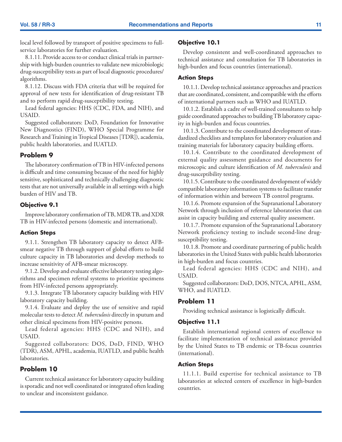local level followed by transport of positive specimens to fullservice laboratories for further evaluation.

8.1.11. Provide access to or conduct clinical trials in partnership with high-burden countries to validate new microbiologic drug-susceptibility tests as part of local diagnostic procedures/ algorithms.

8.1.12. Discuss with FDA criteria that will be required for approval of new tests for identification of drug-resistant TB and to perform rapid drug-susceptibility testing.

Lead federal agencies: HHS (CDC, FDA, and NIH), and USAID.

Suggested collaborators: DoD, Foundation for Innovative New Diagnostics (FIND), WHO Special Programme for Research and Training in Tropical Diseases [TDR]), academia, public health laboratories, and IUATLD.

## **Problem 9**

The laboratory confirmation of TB in HIV-infected persons is difficult and time consuming because of the need for highly sensitive, sophisticated and technically challenging diagnostic tests that are not universally available in all settings with a high burden of HIV and TB.

## **Objective 9.1**

Improve laboratory confirmation of TB, MDR TB, and XDR TB in HIV-infected persons (domestic and international).

## **Action Steps**

9.1.1. Strengthen TB laboratory capacity to detect AFBsmear negative TB through support of global efforts to build culture capacity in TB laboratories and develop methods to increase sensitivity of AFB-smear microscopy.

9.1.2. Develop and evaluate effective laboratory testing algorithms and specimen referral systems to prioritize specimens from HIV-infected persons appropriately.

9.1.3. Integrate TB laboratory capacity building with HIV laboratory capacity building.

9.1.4. Evaluate and deploy the use of sensitive and rapid molecular tests to detect *M. tuberculosis* directly in sputum and other clinical specimens from HIV-positive persons.

Lead federal agencies: HHS (CDC and NIH), and USAID.

Suggested collaborators: DOS, DoD, FIND, WHO (TDR), ASM, APHL, academia, IUATLD, and public health laboratories.

## **Problem 10**

Current technical assistance for laboratory capacity building is sporadic and not well coordinated or integrated often leading to unclear and inconsistent guidance.

### **Objective 10.1**

Develop consistent and well-coordinated approaches to technical assistance and consultation for TB laboratories in high-burden and focus countries (international).

#### **Action Steps**

10.1.1. Develop technical assistance approaches and practices that are coordinated, consistent, and compatible with the efforts of international partners such as WHO and IUATLD.

10.1.2. Establish a cadre of well-trained consultants to help guide coordinated approaches to building TB laboratory capacity in high-burden and focus countries.

10.1.3. Contribute to the coordinated development of standardized checklists and templates for laboratory evaluation and training materials for laboratory capacity building efforts.

10.1.4. Contribute to the coordinated development of external quality assessment guidance and documents for microscopic and culture identification of *M. tuberculosis* and drug-susceptibility testing.

10.1.5. Contribute to the coordinated development of widely compatible laboratory information systems to facilitate transfer of information within and between TB control programs.

10.1.6. Promote expansion of the Supranational Laboratory Network through inclusion of reference laboratories that can assist in capacity building and external quality assessment.

10.1.7. Promote expansion of the Supranational Laboratory Network proficiency testing to include second-line drugsusceptibility testing.

10.1.8. Promote and coordinate partnering of public health laboratories in the United States with public health laboratories in high-burden and focus countries.

Lead federal agencies: HHS (CDC and NIH), and USAID.

Suggested collaborators: DoD, DOS, NTCA, APHL, ASM, WHO, and IUATLD.

### **Problem 11**

Providing technical assistance is logistically difficult.

#### **Objective 11.1**

Establish international regional centers of excellence to facilitate implementation of technical assistance provided by the United States to TB endemic or TB-focus countries (international).

#### **Action Steps**

11.1.1. Build expertise for technical assistance to TB laboratories at selected centers of excellence in high-burden countries.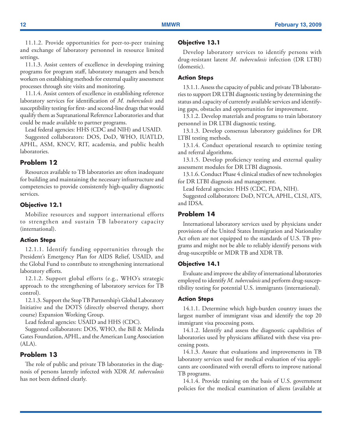11.1.2. Provide opportunities for peer-to-peer training and exchange of laboratory personnel in resource limited settings.

11.1.3. Assist centers of excellence in developing training programs for program staff, laboratory managers and bench workers on establishing methods for external quality assessment processes through site visits and monitoring.

11.1.4. Assist centers of excellence in establishing reference laboratory services for identification of *M. tuberculosis* and susceptibility testing for first- and second-line drugs that would qualify them as Supranational Reference Laboratories and that could be made available to partner programs.

Lead federal agencies: HHS (CDC and NIH) and USAID.

Suggested collaborators: DOS, DoD, WHO, IUATLD, APHL, ASM, KNCV, RIT, academia, and public health laboratories.

## **Problem 12**

Resources available to TB laboratories are often inadequate for building and maintaining the necessary infrastructure and competencies to provide consistently high-quality diagnostic services.

## **Objective 12.1**

Mobilize resources and support international efforts to strengthen and sustain TB laboratory capacity (international).

### **Action Steps**

12.1.1. Identify funding opportunities through the President's Emergency Plan for AIDS Relief, USAID, and the Global Fund to contribute to strengthening international laboratory efforts.

12.1.2. Support global efforts (e.g., WHO's strategic approach to the strengthening of laboratory services for TB control).

12.1.3. Support the Stop TB Partnership's Global Laboratory Initiative and the DOTS (directly observed therapy, short course) Expansion Working Group.

Lead federal agencies: USAID and HHS (CDC).

Suggested collaborators: DOS, WHO, the Bill & Melinda Gates Foundation, APHL, and the American Lung Association (ALA).

## **Problem 13**

The role of public and private TB laboratories in the diagnosis of persons latently infected with XDR *M. tuberculosis* has not been defined clearly.

### **Objective 13.1**

Develop laboratory services to identify persons with drug-resistant latent *M. tuberculosis* infection (DR LTBI) (domestic).

### **Action Steps**

13.1.1. Assess the capacity of public and private TB laboratories to support DR LTBI diagnostic testing by determining the status and capacity of currently available services and identifying gaps, obstacles and opportunities for improvement.

13.1.2. Develop materials and programs to train laboratory personnel in DR LTBI diagnostic testing.

13.1.3. Develop consensus laboratory guidelines for DR LTBI testing methods.

13.1.4. Conduct operational research to optimize testing and referral algorithms.

13.1.5. Develop proficiency testing and external quality assessment modules for DR LTBI diagnosis.

13.1.6. Conduct Phase 4 clinical studies of new technologies for DR LTBI diagnosis and management.

Lead federal agencies: HHS (CDC, FDA, NIH).

Suggested collaborators: DoD, NTCA, APHL, CLSI, ATS, and IDSA.

### **Problem 14**

International laboratory services used by physicians under provisions of the United States Immigration and Nationality Act often are not equipped to the standards of U.S. TB programs and might not be able to reliably identify persons with drug-susceptible or MDR TB and XDR TB.

### **Objective 14.1**

Evaluate and improve the ability of international laboratories employed to identify *M. tuberculosis* and perform drug-susceptibility testing for potential U.S. immigrants (international).

### **Action Steps**

14.1.1. Determine which high-burden country issues the largest number of immigrant visas and identify the top 20 immigrant visa processing posts.

14.1.2. Identify and assess the diagnostic capabilities of laboratories used by physicians affiliated with these visa processing posts.

14.1.3. Assure that evaluations and improvements in TB laboratory services used for medical evaluation of visa applicants are coordinated with overall efforts to improve national TB programs.

14.1.4. Provide training on the basis of U.S. government policies for the medical examination of aliens (available at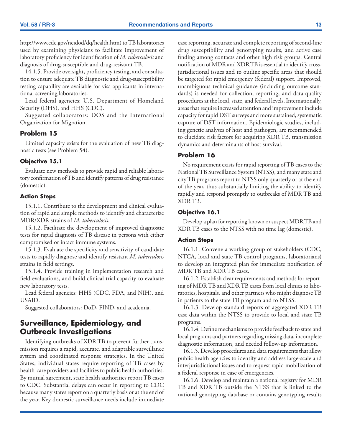<http://www.cdc.gov/ncidod/dq/health.htm>) to TB laboratories used by examining physicians to facilitate improvement of laboratory proficiency for identification of *M. tuberculosis* and diagnosis of drug-susceptible and drug-resistant TB.

14.1.5. Provide oversight, proficiency testing, and consultation to ensure adequate TB diagnostic and drug-susceptibility testing capability are available for visa applicants in international screening laboratories.

Lead federal agencies: U.S. Department of Homeland Security (DHS), and HHS (CDC).

Suggested collaborators: DOS and the International Organization for Migration.

## **Problem 15**

Limited capacity exists for the evaluation of new TB diagnostic tests (see Problem 54).

#### **Objective 15.1**

Evaluate new methods to provide rapid and reliable laboratory confirmation of TB and identify patterns of drug resistance (domestic).

### **Action Steps**

15.1.1. Contribute to the development and clinical evaluation of rapid and simple methods to identify and characterize MDR/XDR strains of *M. tuberculosis*.

15.1.2. Facilitate the development of improved diagnostic tests for rapid diagnosis of TB disease in persons with either compromised or intact immune systems.

15.1.3. Evaluate the specificity and sensitivity of candidate tests to rapidly diagnose and identify resistant *M. tuberculosis* strains in field settings.

15.1.4. Provide training in implementation research and field evaluations, and build clinical trial capacity to evaluate new laboratory tests.

Lead federal agencies: HHS (CDC, FDA, and NIH), and USAID.

Suggested collaborators: DoD, FIND, and academia.

## **Surveillance, Epidemiology, and Outbreak Investigations**

Identifying outbreaks of XDR TB to prevent further transmission requires a rapid, accurate, and adaptable surveillance system and coordinated response strategies. In the United States, individual states require reporting of TB cases by health-care providers and facilities to public health authorities. By mutual agreement, state health authorities report TB cases to CDC. Substantial delays can occur in reporting to CDC because many states report on a quarterly basis or at the end of the year. Key domestic surveillance needs include immediate

case reporting, accurate and complete reporting of second-line drug susceptibility and genotyping results, and active case finding among contacts and other high risk groups. Central notification of MDR and XDR TB is essential to identify crossjurisdictional issues and to outline specific areas that should be targeted for rapid emergency (federal) support. Improved, unambiguous technical guidance (including outcome standards) is needed for collection, reporting, and data-quality procedures at the local, state, and federal levels. Internationally, areas that require increased attention and improvement include capacity for rapid DST surveys and more sustained, systematic capture of DST information. Epidemiologic studies, including genetic analyses of host and pathogen, are recommended to elucidate risk factors for acquiring XDR TB, transmission dynamics and determinants of host survival.

## **Problem 16**

No requirement exists for rapid reporting of TB cases to the National TB Surveillance System (NTSS), and many state and city TB programs report to NTSS only quarterly or at the end of the year, thus substantially limiting the ability to identify rapidly and respond promptly to outbreaks of MDR TB and XDR TB.

### **Objective 16.1**

Develop a plan for reporting known or suspect MDR TB and XDR TB cases to the NTSS with no time lag (domestic).

#### **Action Steps**

16.1.1. Convene a working group of stakeholders (CDC, NTCA, local and state TB control programs, laboratorians) to develop an integrated plan for immediate notification of MDR TB and XDR TB cases.

16.1.2. Establish clear requirements and methods for reporting of MDR TB and XDR TB cases from local clinics to laboratories, hospitals, and other partners who might diagnose TB in patients to the state TB program and to NTSS.

16.1.3. Develop standard reports of aggregated XDR TB case data within the NTSS to provide to local and state TB programs.

16.1.4. Define mechanisms to provide feedback to state and local programs and partners regarding missing data, incomplete diagnostic information, and needed follow-up information.

16.1.5. Develop procedures and data requirements that allow public health agencies to identify and address large-scale and interjurisdictional issues and to request rapid mobilization of a federal response in case of emergencies.

16.1.6. Develop and maintain a national registry for MDR TB and XDR TB outside the NTSS that is linked to the national genotyping database or contains genotyping results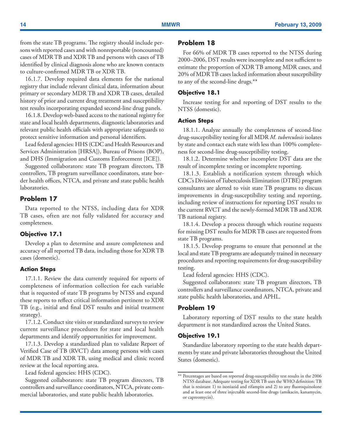from the state TB programs. The registry should include persons with reported cases and with nonreportable (noncounted) cases of MDR TB and XDR TB and persons with cases of TB identified by clinical diagnosis alone who are known contacts to culture-confirmed MDR TB or XDR TB.

16.1.7. Develop required data elements for the national registry that include relevant clinical data, information about primary or secondary MDR TB and XDR TB cases, detailed history of prior and current drug treatment and susceptibility test results incorporating expanded second-line drug panels.

16.1.8. Develop web-based access to the national registry for state and local health departments, diagnostic laboratories and relevant public health officials with appropriate safeguards to protect sensitive information and personal identifiers.

Lead federal agencies: HHS (CDC and Health Resources and Services Administration [HRSA]), Bureau of Prisons (BOP), and DHS (Immigration and Customs Enforcement [ICE]).

Suggested collaborators: state TB program directors, TB controllers, TB program surveillance coordinators, state border health offices, NTCA, and private and state public health laboratories.

### **Problem 17**

Data reported to the NTSS, including data for XDR TB cases, often are not fully validated for accuracy and completeness.

## **Objective 17.1**

Develop a plan to determine and assure completeness and accuracy of all reported TB data, including those for XDR TB cases (domestic).

#### **Action Steps**

17.1.1. Review the data currently required for reports of completeness of information collection for each variable that is requested of state TB programs by NTSS and expand these reports to reflect critical information pertinent to XDR TB (e.g., initial and final DST results and initial treatment strategy).

17.1.2. Conduct site visits or standardized surveys to review current surveillance procedures for state and local health departments and identify opportunities for improvement.

17.1.3. Develop a standardized plan to validate Report of Verified Case of TB (RVCT) data among persons with cases of MDR TB and XDR TB, using medical and clinic record review at the local reporting area.

Lead federal agencies: HHS (CDC).

Suggested collaborators: state TB program directors, TB controllers and surveillance coordinators, NTCA, private commercial laboratories, and state public health laboratories.

## **Problem 18**

For 66% of MDR TB cases reported to the NTSS during 2000–2006, DST results were incomplete and not sufficient to estimate the proportion of XDR TB among MDR cases, and 20% of MDR TB cases lacked information about susceptibility to any of the second-line drugs.\*\*

#### **Objective 18.1**

Increase testing for and reporting of DST results to the NTSS (domestic).

#### **Action Steps**

18.1.1. Analyze annually the completeness of second-line drug-susceptibility testing for all MDR *M. tuberculosis* isolates by state and contact each state with less than 100% completeness for second-line drug-susceptibility testing.

18.1.2. Determine whether incomplete DST data are the result of incomplete testing or incomplete reporting.

18.1.3. Establish a notification system through which CDC's Division of Tuberculosis Elimination (DTBE) program consultants are alerted to visit state TB programs to discuss improvements in drug-susceptibility testing and reporting, including review of instructions for reporting DST results to the current RVCT and the newly-formed MDR TB and XDR TB national registry.

18.1.4. Develop a process through which routine requests for missing DST results for MDR TB cases are requested from state TB programs.

18.1.5. Develop programs to ensure that personnel at the local and state TB programs are adequately trained in necessary procedures and reporting requirements for drug-susceptibility testing.

Lead federal agencies: HHS (CDC).

Suggested collaborators: state TB program directors, TB controllers and surveillance coordinators, NTCA, private and state public health laboratories, and APHL.

#### **Problem 19**

Laboratory reporting of DST results to the state health department is not standardized across the United States.

#### **Objective 19.1**

Standardize laboratory reporting to the state health departments by state and private laboratories throughout the United States (domestic).

<sup>\*\*</sup> Percentages are based on reported drug-susceptibility test results in the 2006 NTSS database. Adequate testing for XDR TB uses the WHO definition: TB that is resistant 1) to isoniazid and rifampin and 2) to any fluoroquinolone and at least one of three injectable second-line drugs (amikacin, kanamycin, or capreomycin).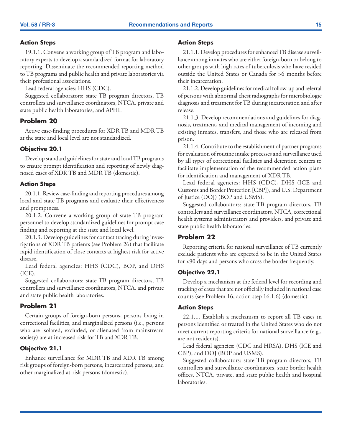## **Action Steps**

19.1.1. Convene a working group of TB program and laboratory experts to develop a standardized format for laboratory reporting. Disseminate the recommended reporting method to TB programs and public health and private laboratories via their professional associations.

Lead federal agencies: HHS (CDC).

Suggested collaborators: state TB program directors, TB controllers and surveillance coordinators, NTCA, private and state public health laboratories, and APHL.

## **Problem 20**

Active case-finding procedures for XDR TB and MDR TB at the state and local level are not standardized.

## **Objective 20.1**

Develop standard guidelines for state and local TB programs to ensure prompt identification and reporting of newly diagnosed cases of XDR TB and MDR TB (domestic).

## **Action Steps**

20.1.1. Review case-finding and reporting procedures among local and state TB programs and evaluate their effectiveness and promptness.

20.1.2. Convene a working group of state TB program personnel to develop standardized guidelines for prompt case finding and reporting at the state and local level.

20.1.3. Develop guidelines for contact tracing during investigations of XDR TB patients (see Problem 26) that facilitate rapid identification of close contacts at highest risk for active disease.

Lead federal agencies: HHS (CDC), BOP, and DHS (ICE).

Suggested collaborators: state TB program directors, TB controllers and surveillance coordinators, NTCA, and private and state public health laboratories.

## **Problem 21**

Certain groups of foreign-born persons, persons living in correctional facilities, and marginalized persons (i.e., persons who are isolated, excluded, or alienated from mainstream society) are at increased risk for TB and XDR TB.

## **Objective 21.1**

Enhance surveillance for MDR TB and XDR TB among risk groups of foreign-born persons, incarcerated persons, and other marginalized at-risk persons (domestic).

## **Action Steps**

21.1.1. Develop procedures for enhanced TB disease surveillance among inmates who are either foreign-born or belong to other groups with high rates of tuberculosis who have resided outside the United States or Canada for >6 months before their incarceration.

21.1.2. Develop guidelines for medical follow-up and referral of persons with abnormal chest radiographs for microbiologic diagnosis and treatment for TB during incarceration and after release.

21.1.3. Develop recommendations and guidelines for diagnosis, treatment, and medical management of incoming and existing inmates, transfers, and those who are released from prison.

21.1.4. Contribute to the establishment of partner programs for evaluation of routine intake processes and surveillance used by all types of correctional facilities and detention centers to facilitate implementation of the recommended action plans for identification and management of XDR TB.

Lead federal agencies: HHS (CDC), DHS (ICE and Customs and Border Protection [CBP]), and U.S. Department of Justice (DOJ) (BOP and USMS).

Suggested collaborators: state TB program directors, TB controllers and surveillance coordinators, NTCA, correctional health systems administrators and providers, and private and state public health laboratories.

## **Problem 22**

Reporting criteria for national surveillance of TB currently exclude patients who are expected to be in the United States for <90 days and persons who cross the border frequently.

### **Objective 22.1**

Develop a mechanism at the federal level for recording and tracking of cases that are not officially included in national case counts (see Problem 16, action step 16.1.6) (domestic).

### **Action Steps**

22.1.1. Establish a mechanism to report all TB cases in persons identified or treated in the United States who do not meet current reporting criteria for national surveillance (e.g., are not residents).

Lead federal agencies: (CDC and HRSA), DHS (ICE and CBP), and DOJ (BOP and USMS).

Suggested collaborators: state TB program directors, TB controllers and surveillance coordinators, state border health offices, NTCA, private, and state public health and hospital laboratories.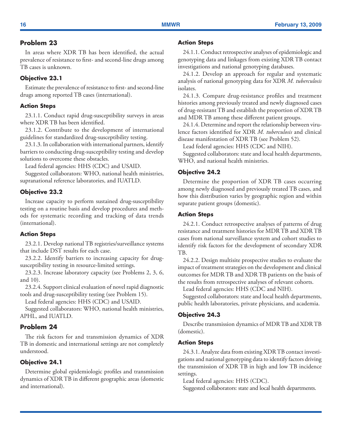## **Problem 23**

In areas where XDR TB has been identified, the actual prevalence of resistance to first- and second-line drugs among TB cases is unknown.

## **Objective 23.1**

Estimate the prevalence of resistance to first- and second-line drugs among reported TB cases (international).

## **Action Steps**

23.1.1. Conduct rapid drug-susceptibility surveys in areas where XDR TB has been identified.

23.1.2. Contribute to the development of international guidelines for standardized drug-susceptibility testing.

23.1.3. In collaboration with international partners, identify barriers to conducting drug-susceptibility testing and develop solutions to overcome these obstacles.

Lead federal agencies: HHS (CDC) and USAID.

Suggested collaborators: WHO, national health ministries, supranational reference laboratories, and IUATLD.

## **Objective 23.2**

Increase capacity to perform sustained drug-susceptibility testing on a routine basis and develop procedures and methods for systematic recording and tracking of data trends (international).

## **Action Steps**

23.2.1. Develop national TB registries/surveillance systems that include DST results for each case.

23.2.2. Identify barriers to increasing capacity for drugsusceptibility testing in resource-limited settings.

23.2.3. Increase laboratory capacity (see Problems 2, 3, 6, and 10).

23.2.4. Support clinical evaluation of novel rapid diagnostic tools and drug-susceptibility testing (see Problem 15).

Lead federal agencies: HHS (CDC) and USAID.

Suggested collaborators: WHO, national health ministries, APHL, and IUATLD.

## **Problem 24**

The risk factors for and transmission dynamics of XDR TB in domestic and international settings are not completely understood.

## **Objective 24.1**

Determine global epidemiologic profiles and transmission dynamics of XDR TB in different geographic areas (domestic and international).

## **Action Steps**

24.1.1. Conduct retrospective analyses of epidemiologic and genotyping data and linkages from existing XDR TB contact investigations and national genotyping databases.

24.1.2. Develop an approach for regular and systematic analysis of national genotyping data for XDR *M. tuberculosis* isolates.

24.1.3. Compare drug-resistance profiles and treatment histories among previously treated and newly diagnosed cases of drug-resistant TB and establish the proportion of XDR TB and MDR TB among these different patient groups.

24.1.4. Determine and report the relationship between virulence factors identified for XDR *M. tuberculosis* and clinical disease manifestation of XDR TB (see Problem 52).

Lead federal agencies: HHS (CDC and NIH).

Suggested collaborators: state and local health departments, WHO, and national health ministries.

## **Objective 24.2**

Determine the proportion of XDR TB cases occurring among newly diagnosed and previously treated TB cases, and how this distribution varies by geographic region and within separate patient groups (domestic).

## **Action Steps**

24.2.1. Conduct retrospective analyses of patterns of drug resistance and treatment histories for MDR TB and XDR TB cases from national surveillance system and cohort studies to identify risk factors for the development of secondary XDR TB.

24.2.2. Design multisite prospective studies to evaluate the impact of treatment strategies on the development and clinical outcomes for MDR TB and XDR TB patients on the basis of the results from retrospective analyses of relevant cohorts.

Lead federal agencies: HHS (CDC and NIH).

Suggested collaborators: state and local health departments, public health laboratories, private physicians, and academia.

## **Objective 24.3**

Describe transmission dynamics of MDR TB and XDR TB (domestic).

## **Action Steps**

24.3.1. Analyze data from existing XDR TB contact investigations and national genotyping data to identify factors driving the transmission of XDR TB in high and low TB incidence settings.

Lead federal agencies: HHS (CDC).

Suggested collaborators: state and local health departments.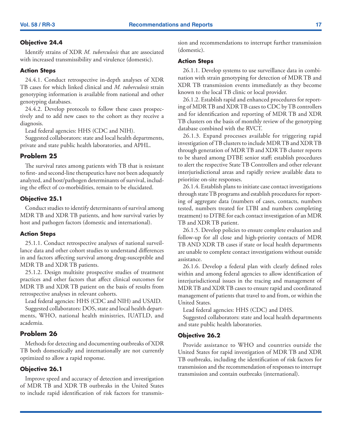## **Objective 24.4**

Identify strains of XDR *M. tuberculosis* that are associated with increased transmissibility and virulence (domestic).

### **Action Steps**

24.4.1. Conduct retrospective in-depth analyses of XDR TB cases for which linked clinical and *M. tuberculosis* strain genotyping information is available from national and other genotyping databases.

24.4.2. Develop protocols to follow these cases prospectively and to add new cases to the cohort as they receive a diagnosis.

Lead federal agencies: HHS (CDC and NIH).

Suggested collaborators: state and local health departments, private and state public health laboratories, and APHL.

## **Problem 25**

The survival rates among patients with TB that is resistant to first- and second-line therapeutics have not been adequately analyzed, and host/pathogen determinants of survival, including the effect of co-morbidities, remain to be elucidated.

## **Objective 25.1**

Conduct studies to identify determinants of survival among MDR TB and XDR TB patients, and how survival varies by host and pathogen factors (domestic and international).

### **Action Steps**

25.1.1. Conduct retrospective analyses of national surveillance data and other cohort studies to understand differences in and factors affecting survival among drug-susceptible and MDR TB and XDR TB patients.

25.1.2. Design multisite prospective studies of treatment practices and other factors that affect clinical outcomes for MDR TB and XDR TB patient on the basis of results from retrospective analyses in relevant cohorts.

Lead federal agencies: HHS (CDC and NIH) and USAID.

Suggested collaborators: DOS, state and local health departments, WHO, national health ministries, IUATLD, and academia.

## **Problem 26**

Methods for detecting and documenting outbreaks of XDR TB both domestically and internationally are not currently optimized to allow a rapid response.

### **Objective 26.1**

Improve speed and accuracy of detection and investigation of MDR TB and XDR TB outbreaks in the United States to include rapid identification of risk factors for transmission and recommendations to interrupt further transmission (domestic).

#### **Action Steps**

26.1.1. Develop systems to use surveillance data in combination with strain genotyping for detection of MDR TB and XDR TB transmission events immediately as they become known to the local TB clinic or local provider.

26.1.2. Establish rapid and enhanced procedures for reporting of MDR TB and XDR TB cases to CDC by TB controllers and for identification and reporting of MDR TB and XDR TB clusters on the basis of monthly review of the genotyping database combined with the RVCT.

26.1.3. Expand processes available for triggering rapid investigation of TB clusters to include MDR TB and XDR TB through generation of MDR TB and XDR TB cluster reports to be shared among DTBE senior staff; establish procedures to alert the respective State TB Controllers and other relevant interjurisdictional areas and rapidly review available data to prioritize on-site responses.

26.1.4. Establish plans to initiate case contact investigations through state TB programs and establish procedures for reporting of aggregate data (numbers of cases, contacts, numbers tested, numbers treated for LTBI and numbers completing treatment) to DTBE for each contact investigation of an MDR TB and XDR TB patient.

26.1.5. Develop policies to ensure complete evaluation and follow-up for all close and high-priority contacts of MDR TB AND XDR TB cases if state or local health departments are unable to complete contact investigations without outside assistance.

26.1.6. Develop a federal plan with clearly defined roles within and among federal agencies to allow identification of interjurisdictional issues in the tracing and management of MDR TB and XDR TB cases to ensure rapid and coordinated management of patients that travel to and from, or within the United States.

Lead federal agencies: HHS (CDC) and DHS.

Suggested collaborators: state and local health departments and state public health laboratories.

### **Objective 26.2**

Provide assistance to WHO and countries outside the United States for rapid investigation of MDR TB and XDR TB outbreaks, including the identification of risk factors for transmission and the recommendation of responses to interrupt transmission and contain outbreaks (international).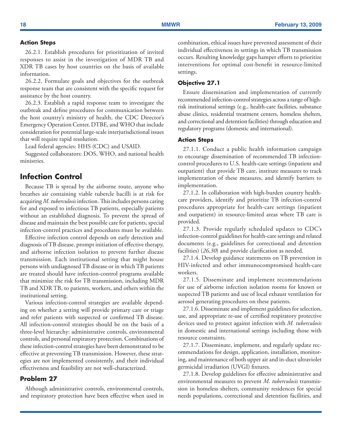### **Action Steps**

26.2.1. Establish procedures for prioritization of invited responses to assist in the investigation of MDR TB and XDR TB cases by host countries on the basis of available information.

26.2.2. Formulate goals and objectives for the outbreak response team that are consistent with the specific request for assistance by the host country.

26.2.3. Establish a rapid response team to investigate the outbreak and define procedures for communication between the host country's ministry of health, the CDC Director's Emergency Operation Center, DTBE, and WHO that include consideration for potential large-scale interjurisdictional issues that will require rapid resolution.

Lead federal agencies: HHS (CDC) and USAID.

Suggested collaborators: DOS, WHO, and national health ministries.

## **Infection Control**

Because TB is spread by the airborne route, anyone who breathes air containing viable tubercle bacilli is at risk for acquiring *M. tuberculosis* infection. This includes persons caring for and exposed to infectious TB patients, especially patients without an established diagnosis. To prevent the spread of disease and maintain the best possible care for patients, special infection-control practices and procedures must be available.

Effective infection control depends on early detection and diagnosis of TB disease, prompt initiation of effective therapy, and airborne infection isolation to prevent further disease transmission. Each institutional setting that might house persons with undiagnosed TB disease or in which TB patients are treated should have infection-control programs available that minimize the risk for TB transmission, including MDR TB and XDR TB, to patients, workers, and others within the institutional setting.

Various infection-control strategies are available depending on whether a setting will provide primary care or triage and refer patients with suspected or confirmed TB disease. All infection-control strategies should be on the basis of a three-level hierarchy: administrative controls, environmental controls, and personal respiratory protection. Combinations of these infection-control strategies have been demonstrated to be effective at preventing TB transmission. However, these strategies are not implemented consistently, and their individual effectiveness and feasibility are not well-characterized.

## **Problem 27**

Although administrative controls, environmental controls, and respiratory protection have been effective when used in combination, ethical issues have prevented assessment of their individual effectiveness in settings in which TB transmission occurs. Resulting knowledge gaps hamper efforts to prioritize interventions for optimal cost-benefit in resource-limited settings.

#### **Objective 27.1**

Ensure dissemination and implementation of currently recommended infection-control strategies across a range of highrisk institutional settings (e.g., health-care facilities, substance abuse clinics, residential treatment centers, homeless shelters, and correctional and detention facilities) through education and regulatory programs (domestic and international).

#### **Action Steps**

27.1.1. Conduct a public health information campaign to encourage dissemination of recommended TB infectioncontrol procedures to U.S. health-care settings (inpatient and outpatient) that provide TB care, institute measures to track implementation of these measures, and identify barriers to implementation.

27.1.2. In collaboration with high-burden country healthcare providers, identify and prioritize TB infection-control procedures appropriate for health-care settings (inpatient and outpatient) in resource-limited areas where TB care is provided.

27.1.3. Provide regularly scheduled updates to CDC's infection-control guidelines for health-care settings and related documents (e.g., guidelines for correctional and detention facilities) (*26,30*) and provide clarification as needed.

27.1.4. Develop guidance statements on TB prevention in HIV-infected and other immunocompromised health-care workers.

27.1.5. Disseminate and implement recommendations for use of airborne infection isolation rooms for known or suspected TB patients and use of local exhaust ventilation for aerosol generating procedures on these patients.

27.1.6. Disseminate and implement guidelines for selection, use, and appropriate re-use of certified respiratory protective devices used to protect against infection with *M. tuberculosis* in domestic and international settings including those with resource constraints.

27.1.7. Disseminate, implement, and regularly update recommendations for design, application, installation, monitoring, and maintenance of both upper air and in-duct ultraviolet germicidal irradiation (UVGI) fixtures.

27.1.8. Develop guidelines for effective administrative and environmental measures to prevent *M. tuberculosis* transmission in homeless shelters, community residences for special needs populations, correctional and detention facilities, and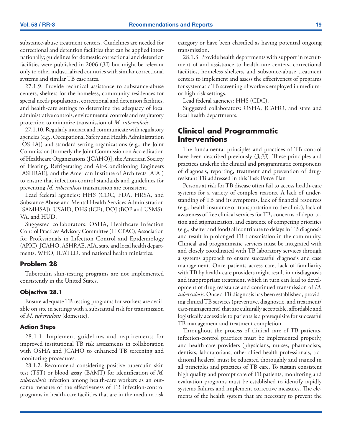substance-abuse treatment centers. Guidelines are needed for correctional and detention facilities that can be applied internationally; guidelines for domestic correctional and detention facilities were published in 2006 (*32*) but might be relevant only to other industrialized countries with similar correctional systems and similar TB case rates.

27.1.9. Provide technical assistance to substance-abuse centers, shelters for the homeless, community residences for special needs populations, correctional and detention facilities, and health-care settings to determine the adequacy of local administrative controls, environmental controls and respiratory protection to minimize transmission of *M. tuberculosis*.

27.1.10. Regularly interact and communicate with regulatory agencies (e.g., Occupational Safety and Health Administration [OSHA]) and standard-setting organizations (e.g., the Joint Commission [formerly the Joint Commission on Accreditation of Healthcare Organizations (JCAHO)]; the American Society of Heating, Refrigerating and Air-Conditioning Engineers [ASHRAE]; and the American Institute of Architects [AIA]) to ensure that infection-control standards and guidelines for preventing *M. tuberculosis* transmission are consistent.

Lead federal agencies: HHS (CDC, FDA, HRSA, and Substance Abuse and Mental Health Services Administration [SAMHSA]), USAID, DHS (ICE), DOJ (BOP and USMS), VA, and HUD.

Suggested collaborators: OSHA, Healthcare Infection Control Practices Advisory Committee (HICPAC), Association for Professionals in Infection Control and Epidemiology (APIC), JCAHO, ASHRAE, AIA, state and local health departments, WHO, IUATLD, and national health ministries.

## **Problem 28**

Tuberculin skin-testing programs are not implemented consistently in the United States.

#### **Objective 28.1**

Ensure adequate TB testing programs for workers are available on site in settings with a substantial risk for transmission of *M. tuberculosis* (domestic).

#### **Action Steps**

28.1.1. Implement guidelines and requirements for improved institutional TB risk assessments in collaboration with OSHA and JCAHO to enhanced TB screening and monitoring procedures.

28.1.2. Recommend considering positive tuberculin skin test (TST) or blood assay (BAMT) for identification of *M. tuberculosis* infection among health-care workers as an outcome measure of the effectiveness of TB infection-control programs in health-care facilities that are in the medium risk category or have been classified as having potential ongoing transmission.

28.1.3. Provide health departments with support in recruitment of and assistance to health-care centers, correctional facilities, homeless shelters, and substance-abuse treatment centers to implement and assess the effectiveness of programs for systematic TB screening of workers employed in mediumor high-risk settings.

Lead federal agencies: HHS (CDC).

Suggested collaborators: OSHA, JCAHO, and state and local health departments.

## **Clinical and Programmatic Interventions**

The fundamental principles and practices of TB control have been described previously (*3,33*). These principles and practices underlie the clinical and programmatic components of diagnosis, reporting, treatment and prevention of drugresistant TB addressed in this Task Force Plan

Persons at risk for TB disease often fail to access health-care systems for a variety of complex reasons. A lack of understanding of TB and its symptoms, lack of financial resources (e.g., health insurance or transportation to the clinic), lack of awareness of free clinical services for TB, concerns of deportation and stigmatization, and existence of competing priorities (e.g., shelter and food) all contribute to delays in TB diagnosis and result in prolonged TB transmission in the community. Clinical and programmatic services must be integrated with and closely coordinated with TB laboratory services through a systems approach to ensure successful diagnosis and case management. Once patients access care, lack of familiarity with TB by health-care providers might result in misdiagnosis and inappropriate treatment, which in turn can lead to development of drug resistance and continued transmission of *M. tuberculosis*. Once a TB diagnosis has been established, providing clinical TB services (preventive, diagnostic, and treatment/ case-management) that are culturally acceptable, affordable and logistically accessible to patients is a prerequisite for successful TB management and treatment completion.

Throughout the process of clinical care of TB patients, infection-control practices must be implemented properly, and health-care providers (physicians, nurses, pharmacists, dentists, laboratorians, other allied health professionals, traditional healers) must be educated thoroughly and trained in all principles and practices of TB care. To sustain consistent high quality and prompt care of TB patients, monitoring and evaluation programs must be established to identify rapidly systems failures and implement corrective measures. The elements of the health system that are necessary to prevent the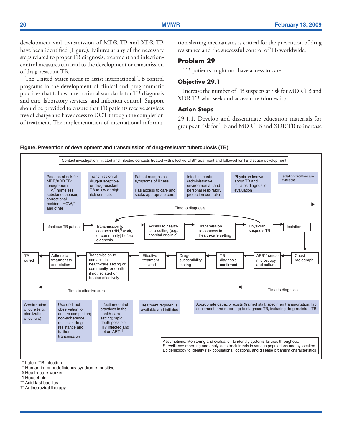development and transmission of MDR TB and XDR TB have been identified (Figure). Failures at any of the necessary steps related to proper TB diagnosis, treatment and infectioncontrol measures can lead to the development or transmission of drug-resistant TB.

The United States needs to assist international TB control programs in the development of clinical and programmatic practices that follow international standards for TB diagnosis and care, laboratory services, and infection control. Support should be provided to ensure that TB patients receive services free of charge and have access to DOT through the completion of treatment. The implementation of international information sharing mechanisms is critical for the prevention of drug resistance and the successful control of TB worldwide.

## **Problem 29**

TB patients might not have access to care.

## **Objective 29.1**

Increase the number of TB suspects at risk for MDR TB and XDR TB who seek and access care (domestic).

#### **Action Steps**

29.1.1. Develop and disseminate education materials for groups at risk for TB and MDR TB and XDR TB to increase





† Human immunodeficiency syndrome–positive.

§ Health-care worker.

¶ Household.

\*\* Acid fast bacillus.

†† Antiretroviral therapy.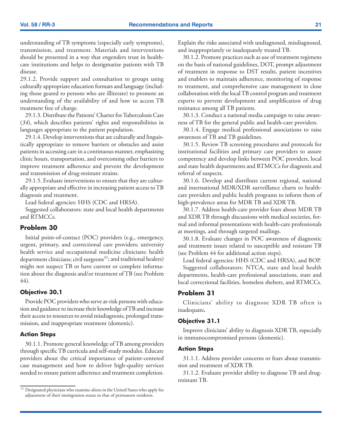understanding of TB symptoms (especially early symptoms), transmission, and treatment. Materials and interventions should be presented in a way that engenders trust in healthcare institutions and helps to destigmatize patients with TB disease.

29.1.2. Provide support and consultation to groups using culturally appropriate education formats and language (including those geared to persons who are illiterate) to promote an understanding of the availability of and how to access TB treatment free of charge.

29.1.3. Distribute the Patients' Charter for Tuberculosis Care (*34*), which describes patients' rights and responsibilities in languages appropriate to the patient population.

29.1.4. Develop interventions that are culturally and linguistically appropriate to remove barriers or obstacles and assist patients in accessing care in a continuous manner, emphasizing clinic hours, transportation, and overcoming other barriers to improve treatment adherence and prevent the development and transmission of drug-resistant strains.

29.1.5. Evaluate interventions to ensure that they are culturally appropriate and effective in increasing patient access to TB diagnosis and treatment.

Lead federal agencies: HHS (CDC and HRSA).

Suggested collaborators: state and local health departments and RTMCCs.

## **Problem 30**

Initial point-of-contact (POC) providers (e.g., emergency, urgent, primary, and correctional care providers; university health service and occupational medicine clinicians; health department clinicians; civil surgeons††; and traditional healers) might not suspect TB or have current or complete information about the diagnosis and/or treatment of TB (see Problem 44).

## **Objective 30.1**

Provide POC providers who serve at-risk persons with education and guidance to increase their knowledge of TB and increase their access to resources to avoid misdiagnosis, prolonged transmission, and inappropriate treatment (domestic).

#### **Action Steps**

30.1.1. Promote general knowledge of TB among providers through specific TB curricula and self-study modules. Educate providers about the critical importance of patient-centered case management and how to deliver high-quality services needed to ensure patient adherence and treatment completion. Explain the risks associated with undiagnosed, misdiagnosed, and inappropriately or inadequately treated TB.

30.1.2. Promote practices such as use of treatment regimens on the basis of national guidelines, DOT, prompt adjustment of treatment in response to DST results, patient incentives and enablers to maintain adherence, monitoring of response to treatment, and comprehensive case management in close collaboration with the local TB control program and treatment experts to prevent development and amplification of drug resistance among all TB patients.

30.1.3. Conduct a national media campaign to raise awareness of TB for the general public and health-care providers.

30.1.4. Engage medical professional associations to raise awareness of TB and TB guidelines.

30.1.5. Review TB screening procedures and protocols for institutional facilities and primary care providers to assure competency and develop links between POC providers, local and state health departments and RTMCCs for diagnosis and referral of suspects.

30.1.6. Develop and distribute current regional, national and international MDR/XDR surveillance charts to healthcare providers and public health programs to inform them of high-prevalence areas for MDR TB and XDR TB.

30.1.7. Address health-care provider fears about MDR TB and XDR TB through discussions with medical societies, formal and informal presentations with health-care professionals at meetings, and through targeted mailings.

30.1.8. Evaluate changes in POC awareness of diagnostic and treatment issues related to susceptible and resistant TB (see Problem 44 for additional action steps).

Lead federal agencies: HHS (CDC and HRSA), and BOP.

Suggested collaborators: NTCA, state and local health departments, health-care professional associations, state and local correctional facilities, homeless shelters, and RTMCCs.

## **Problem 31**

Clinicians' ability to diagnose XDR TB often is inadequate**.**

### **Objective 31.1**

Improve clinicians' ability to diagnosis XDR TB, especially in immunocompromised persons (domestic).

### **Action Steps**

31.1.1. Address provider concerns or fears about transmission and treatment of XDR TB.

31.1.2. Evaluate provider ability to diagnose TB and drugresistant TB.

<sup>††</sup> Designated physicians who examine aliens in the United States who apply for adjustment of their immigration status to that of permanent residents.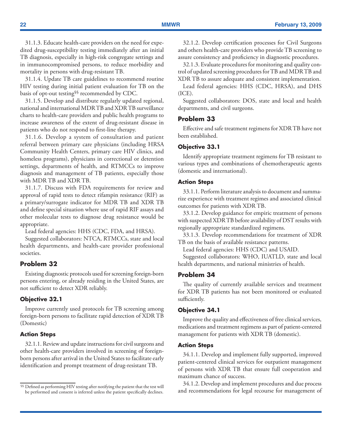31.1.3. Educate health-care providers on the need for expedited drug-susceptibility testing immediately after an initial TB diagnosis, especially in high-risk congregate settings and in immunocompromised persons, to reduce morbidity and mortality in persons with drug-resistant TB.

31.1.4. Update TB care guidelines to recommend routine HIV testing during initial patient evaluation for TB on the basis of opt-out testing§§ recommended by CDC.

31.1.5. Develop and distribute regularly updated regional, national and international MDR TB and XDR TB surveillance charts to health-care providers and public health programs to increase awareness of the extent of drug-resistant disease in patients who do not respond to first-line therapy.

31.1.6. Develop a system of consultation and patient referral between primary care physicians (including HRSA Community Health Centers, primary care HIV clinics, and homeless programs), physicians in correctional or detention settings, departments of health, and RTMCCs to improve diagnosis and management of TB patients, especially those with MDR TB and XDR TB.

31.1.7. Discuss with FDA requirements for review and approval of rapid tests to detect rifampin resistance (RIF) as a primary/surrogate indicator for MDR TB and XDR TB and define special situation where use of rapid RIF assays and other molecular tests to diagnose drug resistance would be appropriate.

Lead federal agencies: HHS (CDC, FDA, and HRSA).

Suggested collaborators: NTCA, RTMCCs, state and local health departments, and health-care provider professional societies.

## **Problem 32**

Existing diagnostic protocols used for screening foreign-born persons entering, or already residing in the United States, are not sufficient to detect XDR reliably.

### **Objective 32.1**

Improve currently used protocols for TB screening among foreign-born persons to facilitate rapid detection of XDR TB (Domestic)

## **Action Steps**

32.1.1. Review and update instructions for civil surgeons and other health-care providers involved in screening of foreignborn persons after arrival in the United States to facilitate early identification and prompt treatment of drug-resistant TB.

32.1.2. Develop certification processes for Civil Surgeons and others health-care providers who provide TB screening to assure consistency and proficiency in diagnostic procedures.

32.1.3. Evaluate procedures for monitoring and quality control of updated screening procedures for TB and MDR TB and XDR TB to assure adequate and consistent implementation.

Lead federal agencies: HHS (CDC, HRSA), and DHS (ICE).

Suggested collaborators: DOS, state and local and health departments, and civil surgeons.

#### **Problem 33**

Effective and safe treatment regimens for XDR TB have not been established.

### **Objective 33.1**

Identify appropriate treatment regimens for TB resistant to various types and combinations of chemotherapeutic agents (domestic and international).

#### **Action Steps**

33.1.1. Perform literature analysis to document and summarize experience with treatment regimes and associated clinical outcomes for patients with XDR TB.

33.1.2. Develop guidance for empiric treatment of persons with suspected XDR TB before availability of DST results with regionally appropriate standardized regimens.

33.1.3. Develop recommendations for treatment of XDR TB on the basis of available resistance patterns.

Lead federal agencies: HHS (CDC) and USAID.

Suggested collaborators: WHO, IUATLD, state and local health departments, and national ministries of health.

## **Problem 34**

The quality of currently available services and treatment for XDR TB patients has not been monitored or evaluated sufficiently.

#### **Objective 34.1**

Improve the quality and effectiveness of free clinical services, medications and treatment regimens as part of patient-centered management for patients with XDR TB (domestic).

#### **Action Steps**

34.1.1. Develop and implement fully supported, improved patient-centered clinical services for outpatient management of persons with XDR TB that ensure full cooperation and maximum chance of success.

34.1.2. Develop and implement procedures and due process and recommendations for legal recourse for management of

 $^{\S\S}$  Defined as performing HIV testing after notifying the patient that the test will be performed and consent is inferred unless the patient specifically declines.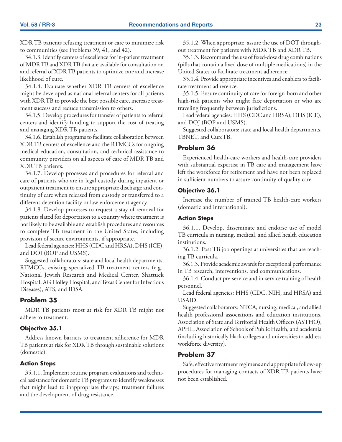XDR TB patients refusing treatment or care to minimize risk to communities (see Problems 39, 41, and 42).

34.1.3. Identify centers of excellence for in-patient treatment of MDR TB and XDR TB that are available for consultation on and referral of XDR TB patients to optimize care and increase likelihood of cure.

34.1.4. Evaluate whether XDR TB centers of excellence might be developed as national referral centers for all patients with XDR TB to provide the best possible care, increase treatment success and reduce transmission to others.

34.1.5. Develop procedures for transfer of patients to referral centers and identify funding to support the cost of treating and managing XDR TB patients.

34.1.6. Establish programs to facilitate collaboration between XDR TB centers of excellence and the RTMCCs for ongoing medical education, consultation, and technical assistance to community providers on all aspects of care of MDR TB and XDR TB patients.

34.1.7. Develop processes and procedures for referral and care of patients who are in legal custody during inpatient or outpatient treatment to ensure appropriate discharge and continuity of care when released from custody or transferred to a different detention facility or law enforcement agency.

34.1.8. Develop processes to request a stay of removal for patients slated for deportation to a country where treatment is not likely to be available and establish procedures and resources to complete TB treatment in the United States, including provision of secure environments, if appropriate.

Lead federal agencies: HHS (CDC and HRSA), DHS (ICE), and DOJ (BOP and USMS).

Suggested collaborators: state and local health departments, RTMCCs, existing specialized TB treatment centers (e.g., National Jewish Research and Medical Center, Shattuck Hospital, AG Holley Hospital, and Texas Center for Infectious Diseases), ATS, and IDSA.

## **Problem 35**

MDR TB patients most at risk for XDR TB might not adhere to treatment.

## **Objective 35.1**

Address known barriers to treatment adherence for MDR TB patients at risk for XDR TB through sustainable solutions (domestic).

### **Action Steps**

35.1.1. Implement routine program evaluations and technical assistance for domestic TB programs to identify weaknesses that might lead to inappropriate therapy, treatment failures and the development of drug resistance.

35.1.2. When appropriate, assure the use of DOT throughout treatment for patients with MDR TB and XDR TB.

35.1.3. Recommend the use of fixed-dose drug combinations (pills that contain a fixed dose of multiple medications) in the United States to facilitate treatment adherence.

35.1.4. Provide appropriate incentives and enablers to facilitate treatment adherence.

35.1.5. Ensure continuity of care for foreign-born and other high-risk patients who might face deportation or who are traveling frequently between jurisdictions.

Lead federal agencies: HHS (CDC and HRSA), DHS (ICE), and DOJ (BOP and USMS).

Suggested collaborators: state and local health departments, TBNET, and CureTB.

## **Problem 36**

Experienced health-care workers and health-care providers with substantial expertise in TB care and management have left the workforce for retirement and have not been replaced in sufficient numbers to assure continuity of quality care.

### **Objective 36.1**

Increase the number of trained TB health-care workers (domestic and international).

### **Action Steps**

36.1.1. Develop, disseminate and endorse use of model TB curricula in nursing, medical, and allied health education institutions.

36.1.2. Post TB job openings at universities that are teaching TB curricula.

36.1.3. Provide academic awards for exceptional performance in TB research, interventions, and communications.

36.1.4. Conduct pre-service and in-service training of health personnel.

Lead federal agencies: HHS (CDC, NIH, and HRSA) and USAID.

Suggested collaborators: NTCA, nursing, medical, and allied health professional associations and education institutions, Association of State and Territorial Health Officers (ASTHO), APHL, Association of Schools of Public Health, and academia (including historically black colleges and universities to address workforce diversity).

### **Problem 37**

Safe, effective treatment regimens and appropriate follow-up procedures for managing contacts of XDR TB patients have not been established.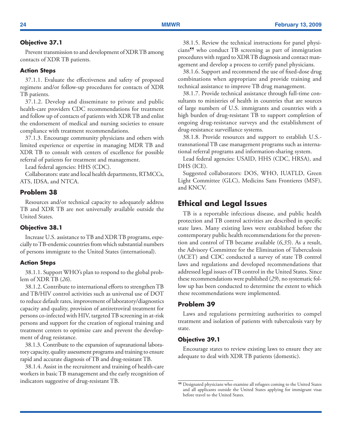## **Objective 37.1**

Prevent transmission to and development of XDR TB among contacts of XDR TB patients.

### **Action Steps**

37.1.1. Evaluate the effectiveness and safety of proposed regimens and/or follow-up procedures for contacts of XDR TB patients.

37.1.2. Develop and disseminate to private and public health-care providers CDC recommendations for treatment and follow up of contacts of patients with XDR TB and enlist the endorsement of medical and nursing societies to ensure compliance with treatment recommendations.

37.1.3. Encourage community physicians and others with limited experience or expertise in managing MDR TB and XDR TB to consult with centers of excellence for possible referral of patients for treatment and management.

Lead federal agencies: HHS (CDC).

Collaborators: state and local health departments, RTMCCs, ATS, IDSA, and NTCA.

## **Problem 38**

Resources and/or technical capacity to adequately address TB and XDR TB are not universally available outside the United States.

### **Objective 38.1**

Increase U.S. assistance to TB and XDR TB programs, especially to TB-endemic countries from which substantial numbers of persons immigrate to the United States (international).

### **Action Steps**

38.1.1. Support WHO's plan to respond to the global problem of XDR TB (*26*).

38.1.2. Contribute to international efforts to strengthen TB and TB/HIV control activities such as universal use of DOT to reduce default rates, improvement of laboratory/diagnostics capacity and quality, provision of antiretroviral treatment for persons co-infected with HIV, targeted TB screening in at-risk persons and support for the creation of regional training and treatment centers to optimize care and prevent the development of drug resistance.

38.1.3. Contribute to the expansion of supranational laboratory capacity, quality assessment programs and training to ensure rapid and accurate diagnosis of TB and drug-resistant TB.

38.1.4. Assist in the recruitment and training of health-care workers in basic TB management and the early recognition of indicators suggestive of drug-resistant TB.

38.1.5. Review the technical instructions for panel physicians¶¶ who conduct TB screening as part of immigration procedures with regard to XDR TB diagnosis and contact management and develop a process to certify panel physicians.

38.1.6. Support and recommend the use of fixed-dose drug combinations when appropriate and provide training and technical assistance to improve TB drug management.

38.1.7. Provide technical assistance through full-time consultants to ministries of health in countries that are sources of large numbers of U.S. immigrants and countries with a high burden of drug-resistant TB to support completion of ongoing drug-resistance surveys and the establishment of drug-resistance surveillance systems.

38.1.8. Provide resources and support to establish U.S. transnational TB case management programs such as international referral programs and information-sharing system.

Lead federal agencies: USAID, HHS (CDC, HRSA), and DHS (ICE).

Suggested collaborators: DOS, WHO, IUATLD, Green Light Committee (GLC), Medicins Sans Frontieres (MSF), and KNCV.

## **Ethical and Legal Issues**

TB is a reportable infectious disease, and public health protection and TB control activities are described in specific state laws. Many existing laws were established before the contemporary public health recommendations for the prevention and control of TB became available (*6,35*). As a result, the Advisory Committee for the Elimination of Tuberculosis (ACET) and CDC conducted a survey of state TB control laws and regulations and developed recommendations that addressed legal issues of TB control in the United States. Since these recommendations were published (*29*), no systematic follow up has been conducted to determine the extent to which these recommendations were implemented.

### **Problem 39**

Laws and regulations permitting authorities to compel treatment and isolation of patients with tuberculosis vary by state.

### **Objective 39.1**

Encourage states to review existing laws to ensure they are adequate to deal with XDR TB patients (domestic).

<sup>¶¶</sup> Designated physicians who examine all refugees coming to the United States and all applicants outside the United States applying for immigrant visas before travel to the United States.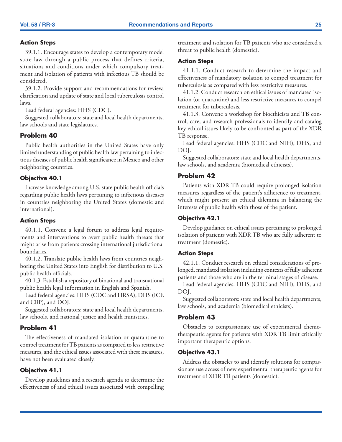## **Action Steps**

39.1.1. Encourage states to develop a contemporary model state law through a public process that defines criteria, situations and conditions under which compulsory treatment and isolation of patients with infectious TB should be considered.

39.1.2. Provide support and recommendations for review, clarification and update of state and local tuberculosis control laws.

Lead federal agencies: HHS (CDC).

Suggested collaborators: state and local health departments, law schools and state legislatures.

## **Problem 40**

Public health authorities in the United States have only limited understanding of public health law pertaining to infectious diseases of public health significance in Mexico and other neighboring countries.

### **Objective 40.1**

Increase knowledge among U.S. state public health officials regarding public health laws pertaining to infectious diseases in countries neighboring the United States (domestic and international).

### **Action Steps**

40.1.1. Convene a legal forum to address legal requirements and interventions to avert public health threats that might arise from patients crossing international jurisdictional boundaries.

40.1.2. Translate public health laws from countries neighboring the United States into English for distribution to U.S. public health officials.

40.1.3. Establish a repository of binational and transnational public health legal information in English and Spanish.

Lead federal agencies: HHS (CDC and HRSA), DHS (ICE and CBP), and DOJ.

Suggested collaborators: state and local health departments, law schools, and national justice and health ministries.

## **Problem 41**

The effectiveness of mandated isolation or quarantine to compel treatment for TB patients as compared to less restrictive measures, and the ethical issues associated with these measures, have not been evaluated closely.

### **Objective 41.1**

Develop guidelines and a research agenda to determine the effectiveness of and ethical issues associated with compelling treatment and isolation for TB patients who are considered a threat to public health (domestic).

#### **Action Steps**

41.1.1. Conduct research to determine the impact and effectiveness of mandatory isolation to compel treatment for tuberculosis as compared with less restrictive measures.

41.1.2. Conduct research on ethical issues of mandated isolation (or quarantine) and less restrictive measures to compel treatment for tuberculosis.

41.1.3. Convene a workshop for bioethicists and TB control, care, and research professionals to identify and catalog key ethical issues likely to be confronted as part of the XDR TB response.

Lead federal agencies: HHS (CDC and NIH), DHS, and DOJ.

Suggested collaborators: state and local health departments, law schools, and academia (biomedical ethicists).

### **Problem 42**

Patients with XDR TB could require prolonged isolation measures regardless of the patient's adherence to treatment, which might present an ethical dilemma in balancing the interests of public health with those of the patient.

#### **Objective 42.1**

Develop guidance on ethical issues pertaining to prolonged isolation of patients with XDR TB who are fully adherent to treatment (domestic).

#### **Action Steps**

42.1.1. Conduct research on ethical considerations of prolonged, mandated isolation including contexts of fully adherent patients and those who are in the terminal stages of disease.

Lead federal agencies: HHS (CDC and NIH), DHS, and DOJ.

Suggested collaborators: state and local health departments, law schools, and academia (biomedical ethicists).

## **Problem 43**

Obstacles to compassionate use of experimental chemotherapeutic agents for patients with XDR TB limit critically important therapeutic options.

## **Objective 43.1**

Address the obstacles to and identify solutions for compassionate use access of new experimental therapeutic agents for treatment of XDR TB patients (domestic).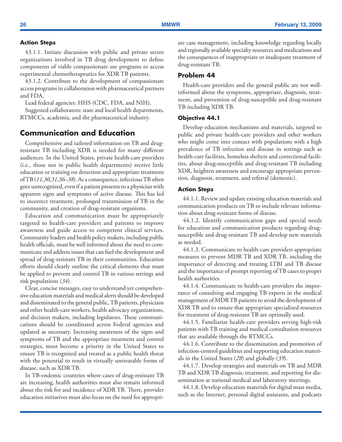## **Action Steps**

43.1.1. Initiate discussion with public and private sector organizations involved in TB drug development to define components of viable compassionate use programs to access experimental chemotherapeutics for XDR TB patients.

43.1.2. Contribute to the development of compassionate access programs in collaboration with pharmaceutical partners and FDA.

Lead federal agencies: HHS (CDC, FDA, and NIH).

Suggested collaborators: state and local health departments, RTMCCs, academia, and the pharmaceutical industry.

## **Communication and Education**

Comprehensive and tailored information on TB and drugresistant TB including XDR is needed for many different audiences. In the United States, private health-care providers (i.e., those not in public health departments) receive little education or training on detection and appropriate treatment of TB (*11,30,31,36–38*). As a consequence, infectious TB often goes unrecognized, even if a patient presents to a physician with apparent signs and symptoms of active disease. This has led to incorrect treatment, prolonged transmission of TB in the community, and creation of drug-resistant organisms.

Education and communication must be appropriately targeted to health-care providers and patients to improve awareness and guide access to competent clinical services. Community leaders and health policy makers, including public health officials, must be well informed about the need to communicate and address issues that can fuel the development and spread of drug-resistant TB in their communities. Education efforts should clearly outline the critical elements that must be applied to prevent and control TB in various settings and risk populations (*34*).

Clear, concise messages, easy to understand yet comprehensive education materials and medical alerts should be developed and disseminated to the general public, TB patients, physicians and other health-care workers, health advocacy organizations, and decision makers, including legislators. These communications should be coordinated across Federal agencies and updated as necessary. Increasing awareness of the signs and symptoms of TB and the appropriate treatment and control strategies, must become a priority in the United States to ensure TB is recognized and treated as a public health threat with the potential to result in virtually untreatable forms of disease, such as XDR TB.

In TB-endemic countries where cases of drug-resistant TB are increasing, health authorities must also remain informed about the risk for and incidence of XDR TB. There, provider education initiatives must also focus on the need for appropriate case management, including knowledge regarding locally and regionally available specialty resources and medications and the consequences of inappropriate or inadequate treatment of drug-resistant TB.

## **Problem 44**

Health-care providers and the general public are not wellinformed about the symptoms, appropriate, diagnosis, treatment, and prevention of drug-susceptible and drug-resistant TB including XDR TB.

## **Objective 44.1**

Develop education mechanisms and materials, targeted to public and private health-care providers and other workers who might come into contact with populations with a high prevalence of TB infection and disease in settings such as health-care facilities, homeless shelters and correctional facilities, about drug-susceptible and drug-resistant TB including XDR, heighten awareness and encourage appropriate prevention, diagnosis, treatment, and referral (domestic).

#### **Action Steps**

44.1.1. Review and update existing education materials and communication products on TB to include relevant information about drug-resistant forms of disease.

44.1.2. Identify communication gaps and special needs for education and communication products regarding drugsusceptible and drug-resistant TB and develop new materials as needed.

44.1.3. Communicate to health-care providers appropriate measures to prevent MDR TB and XDR TB, including the importance of detecting and treating LTBI and TB disease and the importance of prompt reporting of TB cases to proper health authorities.

44.1.4. Communicate to health-care providers the importance of consulting and engaging TB experts in the medical management of MDR TB patients to avoid the development of XDR TB and to ensure that appropriate specialized resources for treatment of drug-resistant TB are optimally used.

44.1.5. Familiarize health-care providers serving high-risk patients with TB training and medical consultation resources that are available through the RTMCCs.

44.1.6. Contribute to the dissemination and promotion of infection-control guidelines and supporting education materials in the United States (*28*) and globally (*39*).

44.1.7. Develop strategies and materials on TB and MDR TB and XDR TB diagnosis, treatment, and reporting for dissemination at national medical and laboratory meetings.

44.1.8. Develop education materials for digital mass media, such as the Internet, personal digital assistants, and podcasts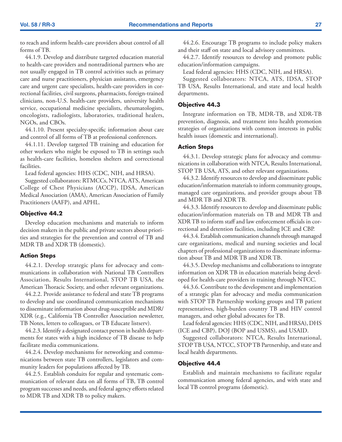to reach and inform health-care providers about control of all forms of TB.

44.1.9. Develop and distribute targeted education material to health-care providers and nontraditional partners who are not usually engaged in TB control activities such as primary care and nurse practitioners, physician assistants, emergency care and urgent care specialists, health-care providers in correctional facilities, civil surgeons, pharmacists, foreign-trained clinicians, non-U.S. health-care providers, university health service, occupational medicine specialists, rheumatologists, oncologists, radiologists, laboratories, traditional healers, NGOs, and CBOs.

44.1.10. Present specialty-specific information about care and control of all forms of TB at professional conferences.

44.1.11. Develop targeted TB training and education for other workers who might be exposed to TB in settings such as health-care facilities, homeless shelters and correctional facilities.

Lead federal agencies: HHS (CDC, NIH, and HRSA).

Suggested collaborators: RTMCCs, NTCA, ATS, American College of Chest Physicians (ACCP), IDSA, American Medical Association (AMA), American Association of Family Practitioners (AAFP), and APHL.

#### **Objective 44.2**

Develop education mechanisms and materials to inform decision makers in the public and private sectors about priorities and strategies for the prevention and control of TB and MDR TB and XDR TB (domestic).

#### **Action Steps**

44.2.1. Develop strategic plans for advocacy and communications in collaboration with National TB Controllers Association, Results International, STOP TB USA, the American Thoracic Society, and other relevant organizations.

44.2.2. Provide assistance to federal and state TB programs to develop and use coordinated communication mechanisms to disseminate information about drug-susceptible and MDR/ XDR (e.g., California TB Controller Association newsletter, TB Notes, letters to colleagues, or TB Educate listserv).

44.2.3. Identify a designated contact person in health departments for states with a high incidence of TB disease to help facilitate media communications.

44.2.4. Develop mechanisms for networking and communications between state TB controllers, legislators and community leaders for populations affected by TB.

44.2.5. Establish conduits for regular and systematic communication of relevant data on all forms of TB, TB control program successes and needs, and federal agency efforts related to MDR TB and XDR TB to policy makers.

44.2.6. Encourage TB programs to include policy makers and their staff on state and local advisory committees.

44.2.7. Identify resources to develop and promote public education/information campaigns.

Lead federal agencies: HHS (CDC, NIH, and HRSA).

Suggested collaborators: NTCA, ATS, IDSA, STOP TB USA, Results International, and state and local health departments.

#### **Objective 44.3**

Integrate information on TB, MDR-TB, and XDR-TB prevention, diagnosis, and treatment into health promotion strategies of organizations with common interests in public health issues (domestic and international).

#### **Action Steps**

44.3.1. Develop strategic plans for advocacy and communications in collaboration with NTCA, Results International, STOP TB USA, ATS, and other relevant organizations.

44.3.2. Identify resources to develop and disseminate public education/information materials to inform community groups, managed care organizations, and provider groups about TB and MDR TB and XDR TB.

44.3.3. Identify resources to develop and disseminate public education/information materials on TB and MDR TB and XDR TB to inform staff and law enforcement officials in correctional and detention facilities, including ICE and CBP.

44.3.4. Establish communication channels through managed care organizations, medical and nursing societies and local chapters of professional organizations to disseminate information about TB and MDR TB and XDR TB.

44.3.5. Develop mechanisms and collaborations to integrate information on XDR TB in education materials being developed for health-care providers in training through NTCC.

44.3.6. Contribute to the development and implementation of a strategic plan for advocacy and media communication with STOP TB Partnership working groups and TB patient representatives, high-burden country TB and HIV control managers, and other global advocates for TB.

Lead federal agencies: HHS (CDC, NIH, and HRSA), DHS (ICE and CBP), DOJ (BOP and USMS), and USAID.

Suggested collaborators: NTCA, Results International, STOP TB USA, NTCC, STOP TB Partnership, and state and local health departments.

#### **Objective 44.4**

Establish and maintain mechanisms to facilitate regular communication among federal agencies, and with state and local TB control programs (domestic).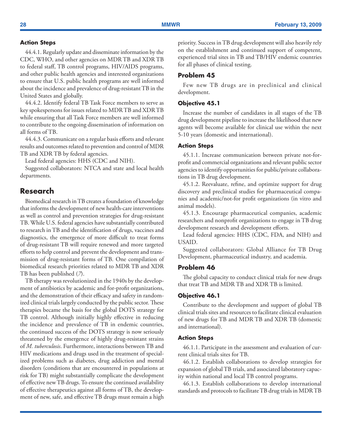### **Action Steps**

44.4.1. Regularly update and disseminate information by the CDC, WHO, and other agencies on MDR TB and XDR TB to federal staff, TB control programs, HIV/AIDS programs, and other public health agencies and interested organizations to ensure that U.S. public health programs are well informed about the incidence and prevalence of drug-resistant TB in the United States and globally.

44.4.2. Identify federal TB Task Force members to serve as key spokespersons for issues related to MDR TB and XDR TB while ensuring that all Task Force members are well informed to contribute to the ongoing dissemination of information on all forms of TB.

44.4.3. Communicate on a regular basis efforts and relevant results and outcomes related to prevention and control of MDR TB and XDR TB by federal agencies.

Lead federal agencies: HHS (CDC and NIH).

Suggested collaborators: NTCA and state and local health departments.

## **Research**

Biomedical research in TB creates a foundation of knowledge that informs the development of new health-care interventions as well as control and prevention strategies for drug-resistant TB. While U.S. federal agencies have substantially contributed to research in TB and the identification of drugs, vaccines and diagnostics, the emergence of more difficult to treat forms of drug-resistant TB will require renewed and more targeted efforts to help control and prevent the development and transmission of drug-resistant forms of TB. One compilation of biomedical research priorities related to MDR TB and XDR TB has been published (*7*).

TB therapy was revolutionized in the 1940s by the development of antibiotics by academic and for-profit organizations, and the demonstration of their efficacy and safety in randomized clinical trials largely conducted by the public sector. These therapies became the basis for the global DOTS strategy for TB control. Although initially highly effective in reducing the incidence and prevalence of TB in endemic countries, the continued success of the DOTS strategy is now seriously threatened by the emergence of highly drug-resistant strains of *M. tuberculosis*. Furthermore, interactions between TB and HIV medications and drugs used in the treatment of specialized problems such as diabetes, drug addiction and mental disorders (conditions that are encountered in populations at risk for TB) might substantially complicate the development of effective new TB drugs. To ensure the continued availability of effective therapeutics against all forms of TB, the development of new, safe, and effective TB drugs must remain a high

priority. Success in TB drug development will also heavily rely on the establishment and continued support of competent, experienced trial sites in TB and TB/HIV endemic countries for all phases of clinical testing.

## **Problem 45**

Few new TB drugs are in preclinical and clinical development.

#### **Objective 45.1**

Increase the number of candidates in all stages of the TB drug development pipeline to increase the likelihood that new agents will become available for clinical use within the next 5-10 years (domestic and international).

### **Action Steps**

45.1.1. Increase communication between private not-forprofit and commercial organizations and relevant public sector agencies to identify opportunities for public/private collaborations in TB drug development.

45.1.2. Reevaluate, refine, and optimize support for drug discovery and preclinical studies for pharmaceutical companies and academic/not-for profit organizations (in vitro and animal models).

45.1.3. Encourage pharmaceutical companies, academic researchers and nonprofit organizations to engage in TB drug development research and development efforts.

Lead federal agencies: HHS (CDC, FDA, and NIH) and USAID.

Suggested collaborators: Global Alliance for TB Drug Development, pharmaceutical industry, and academia.

### **Problem 46**

The global capacity to conduct clinical trials for new drugs that treat TB and MDR TB and XDR TB is limited.

#### **Objective 46.1**

Contribute to the development and support of global TB clinical trials sites and resources to facilitate clinical evaluation of new drugs for TB and MDR TB and XDR TB (domestic and international).

### **Action Steps**

46.1.1. Participate in the assessment and evaluation of current clinical trials sites for TB.

46.1.2. Establish collaborations to develop strategies for expansion of global TB trials, and associated laboratory capacity within national and local TB control programs.

46.1.3. Establish collaborations to develop international standards and protocols to facilitate TB drug trials in MDR TB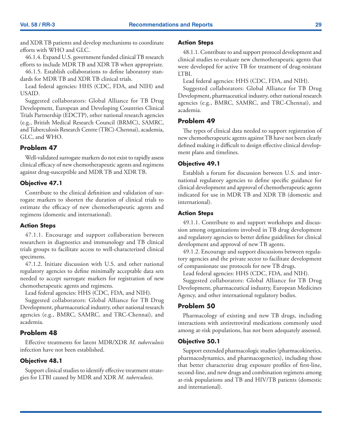and XDR TB patients and develop mechanisms to coordinate efforts with WHO and GLC.

46.1.4. Expand U.S. government funded clinical TB research efforts to include MDR TB and XDR TB when appropriate.

46.1.5. Establish collaborations to define laboratory standards for MDR TB and XDR TB clinical trials.

Lead federal agencies: HHS (CDC, FDA, and NIH) and USAID.

Suggested collaborators: Global Alliance for TB Drug Development, European and Developing Countries Clinical Trials Partnership (EDCTP), other national research agencies (e.g., British Medical Research Council (BRMC), SAMRC, and Tuberculosis Research Centre (TRC)-Chennai), academia, GLC, and WHO.

### **Problem 47**

Well-validated surrogate markers do not exist to rapidly assess clinical efficacy of new chemotherapeutic agents and regimens against drug-susceptible and MDR TB and XDR TB.

## **Objective 47.1**

Contribute to the clinical definition and validation of surrogate markers to shorten the duration of clinical trials to estimate the efficacy of new chemotherapeutic agents and regimens (domestic and international).

#### **Action Steps**

47.1.1. Encourage and support collaboration between researchers in diagnostics and immunology and TB clinical trials groups to facilitate access to well-characterized clinical specimens.

47.1.2. Initiate discussion with U.S. and other national regulatory agencies to define minimally acceptable data sets needed to accept surrogate markers for registration of new chemotherapeutic agents and regimens.

Lead federal agencies: HHS (CDC, FDA, and NIH).

Suggested collaborators: Global Alliance for TB Drug Development, pharmaceutical industry, other national research agencies (e.g., BMRC, SAMRC, and TRC-Chennai), and academia.

## **Problem 48**

Effective treatments for latent MDR/XDR *M. tuberculosis* infection have not been established.

#### **Objective 48.1**

Support clinical studies to identify effective treatment strategies for LTBI caused by MDR and XDR *M. tuberculosis*.

## **Action Steps**

48.1.1. Contribute to and support protocol development and clinical studies to evaluate new chemotherapeutic agents that were developed for active TB for treatment of drug-resistant LTBI.

Lead federal agencies: HHS (CDC, FDA, and NIH).

Suggested collaborators: Global Alliance for TB Drug Development, pharmaceutical industry, other national research agencies (e.g., BMRC, SAMRC, and TRC-Chennai), and academia.

### **Problem 49**

The types of clinical data needed to support registration of new chemotherapeutic agents against TB have not been clearly defined making it difficult to design effective clinical development plans and timelines.

#### **Objective 49.1**

Establish a forum for discussion between U.S. and international regulatory agencies to define specific guidance for clinical development and approval of chemotherapeutic agents indicated for use in MDR TB and XDR TB (domestic and international).

#### **Action Steps**

49.1.1. Contribute to and support workshops and discussion among organizations involved in TB drug development and regulatory agencies to better define guidelines for clinical development and approval of new TB agents.

49.1.2. Encourage and support discussions between regulatory agencies and the private sector to facilitate development of compassionate use protocols for new TB drugs.

Lead federal agencies: HHS (CDC, FDA, and NIH).

Suggested collaborators: Global Alliance for TB Drug Development, pharmaceutical industry, European Medicines Agency, and other international regulatory bodies.

#### **Problem 50**

Pharmacology of existing and new TB drugs, including interactions with antiretroviral medications commonly used among at-risk populations, has not been adequately assessed.

#### **Objective 50.1**

Support extended pharmacologic studies (pharmacokinetics, pharmacodynamics, and pharmacogenetics), including those that better characterize drug exposure profiles of first-line, second-line, and new drugs and combination regimens among at-risk populations and TB and HIV/TB patients (domestic and international).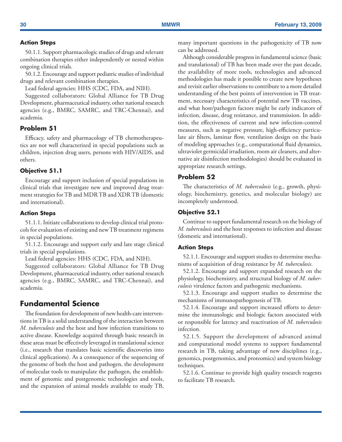## **Action Steps**

50.1.1. Support pharmacologic studies of drugs and relevant combination therapies either independently or nested within ongoing clinical trials.

50.1.2. Encourage and support pediatric studies of individual drugs and relevant combination therapies.

Lead federal agencies: HHS (CDC, FDA, and NIH).

Suggested collaborators: Global Alliance for TB Drug Development, pharmaceutical industry, other national research agencies (e.g., BMRC, SAMRC, and TRC-Chennai), and academia.

## **Problem 51**

Efficacy, safety and pharmacology of TB chemotherapeutics are not well characterized in special populations such as children, injection drug users, persons with HIV/AIDS, and others.

## **Objective 51.1**

Encourage and support inclusion of special populations in clinical trials that investigate new and improved drug treatment strategies for TB and MDR TB and XDR TB (domestic and international).

## **Action Steps**

51.1.1. Initiate collaborations to develop clinical trial protocols for evaluation of existing and new TB treatment regimens in special populations.

51.1.2. Encourage and support early and late stage clinical trials in special populations.

Lead federal agencies: HHS (CDC, FDA, and NIH).

Suggested collaborators: Global Alliance for TB Drug Development, pharmaceutical industry, other national research agencies (e.g., BMRC, SAMRC, and TRC-Chennai), and academia.

## **Fundamental Science**

The foundation for development of new health-care interventions in TB is a solid understanding of the interaction between *M. tuberculosis* and the host and how infection transitions to active disease. Knowledge acquired through basic research in these areas must be effectively leveraged in translational science (i.e., research that translates basic scientific discoveries into clinical applications). As a consequence of the sequencing of the genome of both the host and pathogen, the development of molecular tools to manipulate the pathogen, the establishment of genomic and postgenomic technologies and tools, and the expansion of animal models available to study TB,

many important questions in the pathogenicity of TB now can be addressed.

Although considerable progress in fundamental science (basic and translational) of TB has been made over the past decade, the availability of more tools, technologies and advanced methodologies has made it possible to create new hypotheses and revisit earlier observations to contribute to a more detailed understanding of the best points of intervention in TB treatment, necessary characteristics of potential new TB vaccines, and what host/pathogen factors might be early indicators of infection, disease, drug resistance, and transmission. In addition, the effectiveness of current and new infection-control measures, such as negative pressure, high-efficiency particulate air filters, laminar flow, ventilation design on the basis of modeling approaches (e.g., computational fluid dynamics, ultraviolet germicidal irradiation, room air cleaners, and alternative air disinfection methodologies) should be evaluated in appropriate research settings.

## **Problem 52**

The characteristics of *M. tuberculosis* (e.g., growth, physiology, biochemistry, genetics, and molecular biology) are incompletely understood.

## **Objective 52.1**

Continue to support fundamental research on the biology of *M. tuberculosis* and the host responses to infection and disease (domestic and international).

## **Action Steps**

52.1.1. Encourage and support studies to determine mechanisms of acquisition of drug resistance by *M. tuberculosis*.

52.1.2. Encourage and support expanded research on the physiology, biochemistry, and structural biology of *M. tuberculosis* virulence factors and pathogenic mechanisms.

52.1.3. Encourage and support studies to determine the mechanisms of immunopathogenesis of TB.

52.1.4. Encourage and support increased efforts to determine the immunologic and biologic factors associated with or responsible for latency and reactivation of *M. tuberculosis* infection.

52.1.5. Support the development of advanced animal and computational model systems to support fundamental research in TB, taking advantage of new disciplines (e.g., genomics, postgenomics, and proteomics) and system biology techniques.

52.1.6. Continue to provide high quality research reagents to facilitate TB research.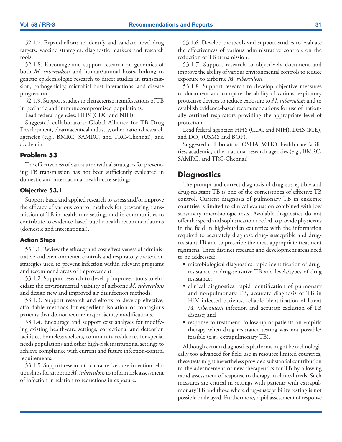52.1.7. Expand efforts to identify and validate novel drug targets, vaccine strategies, diagnostic markers and research tools.

52.1.8. Encourage and support research on genomics of both *M. tuberculosis* and human/animal hosts, linking to genetic epidemiologic research to direct studies in transmission, pathogenicity, microbial host interactions, and disease progression.

52.1.9. Support studies to characterize manifestations of TB in pediatric and immunocompromised populations.

Lead federal agencies: HHS (CDC and NIH)

Suggested collaborators: Global Alliance for TB Drug Development, pharmaceutical industry, other national research agencies (e.g., BMRC, SAMRC, and TRC-Chennai), and academia.

## **Problem 53**

The effectiveness of various individual strategies for preventing TB transmission has not been sufficiently evaluated in domestic and international health-care settings.

### **Objective 53.1**

Support basic and applied research to assess and/or improve the efficacy of various control methods for preventing transmission of TB in health-care settings and in communities to contribute to evidence-based public health recommendations (domestic and international).

#### **Action Steps**

53.1.1. Review the efficacy and cost effectiveness of administrative and environmental controls and respiratory protection strategies used to prevent infection within relevant programs and recommend areas of improvement.

53.1.2. Support research to develop improved tools to elucidate the environmental viability of airborne *M. tuberculosis* and design new and improved air disinfection methods.

53.1.3. Support research and efforts to develop effective, affordable methods for expedient isolation of contagious patients that do not require major facility modifications.

53.1.4. Encourage and support cost analyses for modifying existing health-care settings, correctional and detention facilities, homeless shelters, community residences for special needs populations and other high-risk institutional settings to achieve compliance with current and future infection-control requirements.

53.1.5. Support research to characterize dose-infection relationships for airborne *M. tuberculosis* to inform risk assessment of infection in relation to reductions in exposure.

53.1.6. Develop protocols and support studies to evaluate the effectiveness of various administrative controls on the reduction of TB transmission.

53.1.7. Support research to objectively document and improve the ability of various environmental controls to reduce exposure to airborne *M. tuberculosis*.

53.1.8. Support research to develop objective measures to document and compare the ability of various respiratory protective devices to reduce exposure to *M. tuberculosis* and to establish evidence-based recommendations for use of nationally certified respirators providing the appropriate level of protection.

Lead federal agencies: HHS (CDC and NIH), DHS (ICE), and DOJ (USMS and BOP).

Suggested collaborators: OSHA, WHO, health-care facilities, academia, other national research agencies (e.g., BMRC, SAMRC, and TRC-Chennai)

## **Diagnostics**

The prompt and correct diagnosis of drug-susceptible and drug-resistant TB is one of the cornerstones of effective TB control. Current diagnosis of pulmonary TB in endemic countries is limited to clinical evaluation combined with low sensitivity microbiologic tests. Available diagnostics do not offer the speed and sophistication needed to provide physicians in the field in high-burden countries with the information required to accurately diagnose drug- susceptible and drugresistant TB and to prescribe the most appropriate treatment regimens. Three distinct research and development areas need to be addressed:

- microbiological diagnostics: rapid identification of drugresistance or drug-sensitive TB and levels/types of drug resistance;
- • clinical diagnostics: rapid identification of pulmonary and nonpulmonary TB, accurate diagnosis of TB in HIV infected patients, reliable identification of latent *M. tuberculosis* infection and accurate exclusion of TB disease; and
- response to treatment: follow-up of patients on empiric therapy when drug resistance testing was not possible/ feasible (e.g., extrapulmonary TB).

Although certain diagnostics platforms might be technologically too advanced for field use in resource limited countries, these tests might nevertheless provide a substantial contribution to the advancement of new therapeutics for TB by allowing rapid assessment of response to therapy in clinical trials. Such measures are critical in settings with patients with extrapulmonary TB and those where drug-susceptibility testing is not possible or delayed. Furthermore, rapid assessment of response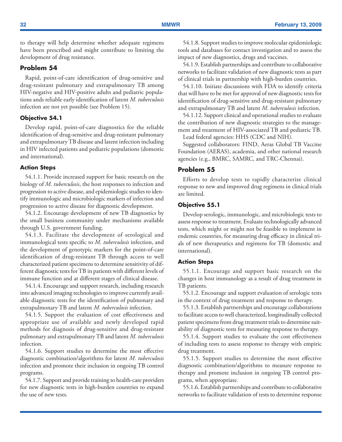to therapy will help determine whether adequate regimens have been prescribed and might contribute to limiting the development of drug resistance.

## **Problem 54**

Rapid, point-of-care identification of drug-sensitive and drug-resistant pulmonary and extrapulmonary TB among HIV-negative and HIV-positive adults and pediatric populations ands reliable early identification of latent *M. tuberculosis* infection are not yet possible (see Problem 15).

#### **Objective 54.1**

Develop rapid, point-of-care diagnostics for the reliable identification of drug-sensitive and drug-resistant pulmonary and extrapulmonary TB disease and latent infection including in HIV infected patients and pediatric populations (domestic and international).

#### **Action Steps**

54.1.1. Provide increased support for basic research on the biology of *M. tuberculosis*, the host responses to infection and progression to active disease, and epidemiologic studies to identify immunologic and microbiologic markers of infection and progression to active disease for diagnostic development.

54.1.2. Encourage development of new TB diagnostics by the small business community under mechanisms available through U.S. government funding.

54.1.3. Facilitate the development of serological and immunological tests specific to *M. tuberculosis* infection, and the development of genotypic markers for the point-of-care identification of drug-resistant TB through access to well characterized patient specimens to determine sensitivity of different diagnostic tests for TB in patients with different levels of immune function and at different stages of clinical disease.

54.1.4. Encourage and support research, including research into advanced imaging technologies to improve currently available diagnostic tests for the identification of pulmonary and extrapulmonary TB and latent *M. tuberculosis* infection.

54.1.5. Support the evaluation of cost effectiveness and appropriate use of available and newly developed rapid methods for diagnosis of drug-sensitive and drug-resistant pulmonary and extrapulmonary TB and latent *M. tuberculosis* infection.

54.1.6. Support studies to determine the most effective diagnostic combination/algorithms for latent *M. tuberculosis* infection and promote their inclusion in ongoing TB control programs.

54.1.7. Support and provide training to health-care providers for new diagnostic tests in high-burden countries to expand the use of new tests.

54.1.8. Support studies to improve molecular epidemiologic tools and databases for contact investigation and to assess the impact of new diagnostics, drugs and vaccines.

54.1.9. Establish partnerships and contribute to collaborative networks to facilitate validation of new diagnostic tests as part of clinical trials in partnership with high-burden countries.

54.1.10. Initiate discussions with FDA to identify criteria that will have to be met for approval of new diagnostic tests for identification of drug-sensitive and drug-resistant pulmonary and extrapulmonary TB and latent *M. tuberculosis* infection.

54.1.12. Support clinical and operational studies to evaluate the contribution of new diagnostic strategies to the management and treatment of HIV-associated TB and pediatric TB.

Lead federal agencies: HHS (CDC and NIH).

Suggested collaborators: FIND, Aeras Global TB Vaccine Foundation (AERAS), academia, and other national research agencies (e.g., BMRC, SAMRC, and TRC-Chennai).

## **Problem 55**

Efforts to develop tests to rapidly characterize clinical response to new and improved drug regimens in clinical trials are limited.

## **Objective 55.1**

Develop serologic, immunologic, and microbiologic tests to assess response to treatment. Evaluate technologically advanced tests, which might or might not be feasible to implement in endemic countries, for measuring drug efficacy in clinical trials of new therapeutics and regimens for TB (domestic and international).

#### **Action Steps**

55.1.1. Encourage and support basic research on the changes in host immunology as a result of drug treatment in TB patients.

55.1.2. Encourage and support evaluation of serologic tests in the context of drug treatment and response to therapy.

55.1.3. Establish partnerships and encourage collaborations to facilitate access to well characterized, longitudinally collected patient specimens from drug treatment trials to determine suitability of diagnostic tests for measuring response to therapy.

55.1.4. Support studies to evaluate the cost effectiveness of including tests to assess response to therapy with empiric drug treatment.

55.1.5. Support studies to determine the most effective diagnostic combination/algorithms to measure response to therapy and promote inclusion in ongoing TB control programs, when appropriate.

55.1.6. Establish partnerships and contribute to collaborative networks to facilitate validation of tests to determine response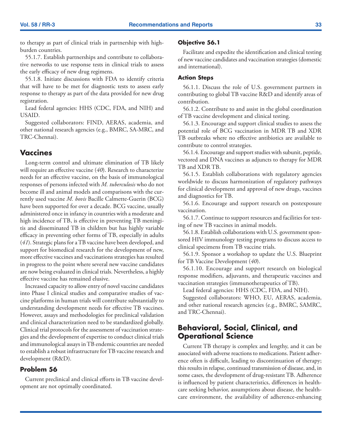to therapy as part of clinical trials in partnership with highburden countries.

55.1.7. Establish partnerships and contribute to collaborative networks to use response tests in clinical trials to assess the early efficacy of new drug regimens.

55.1.8. Initiate discussions with FDA to identify criteria that will have to be met for diagnostic tests to assess early response to therapy as part of the data provided for new drug registration.

Lead federal agencies: HHS (CDC, FDA, and NIH) and USAID.

Suggested collaborators: FIND, AERAS, academia, and other national research agencies (e.g., BMRC, SA-MRC, and TRC-Chennai).

## **Vaccines**

Long-term control and ultimate elimination of TB likely will require an effective vaccine (*40*). Research to characterize needs for an effective vaccine, on the basis of immunological responses of persons infected with *M. tuberculosis* who do not become ill and animal models and comparisons with the currently used vaccine *M. bovis* Bacille Calmette-Guerin (BCG) have been supported for over a decade. BCG vaccine, usually administered once in infancy in countries with a moderate and high incidence of TB, is effective in preventing TB meningitis and disseminated TB in children but has highly variable efficacy in preventing other forms of TB, especially in adults (*41*). Strategic plans for a TB vaccine have been developed, and support for biomedical research for the development of new, more effective vaccines and vaccinations strategies has resulted in progress to the point where several new vaccine candidates are now being evaluated in clinical trials. Nevertheless, a highly effective vaccine has remained elusive.

Increased capacity to allow entry of novel vaccine candidates into Phase I clinical studies and comparative studies of vaccine platforms in human trials will contribute substantially to understanding development needs for effective TB vaccines. However, assays and methodologies for preclinical validation and clinical characterization need to be standardized globally. Clinical trial protocols for the assessment of vaccination strategies and the development of expertise to conduct clinical trials and immunological assays in TB endemic countries are needed to establish a robust infrastructure for TB vaccine research and development (R&D).

## **Problem 56**

Current preclinical and clinical efforts in TB vaccine development are not optimally coordinated.

### **Objective 56.1**

Facilitate and expedite the identification and clinical testing of new vaccine candidates and vaccination strategies (domestic and international).

#### **Action Steps**

56.1.1. Discuss the role of U.S. government partners in contributing to global TB vaccine R&D and identify areas of contribution.

56.1.2. Contribute to and assist in the global coordination of TB vaccine development and clinical testing.

56.1.3. Encourage and support clinical studies to assess the potential role of BCG vaccination in MDR TB and XDR TB outbreaks where no effective antibiotics are available to contribute to control strategies.

56.1.4. Encourage and support studies with subunit, peptide, vectored and DNA vaccines as adjuncts to therapy for MDR TB and XDR TB.

56.1.5. Establish collaborations with regulatory agencies worldwide to discuss harmonization of regulatory pathways for clinical development and approval of new drugs, vaccines and diagnostics for TB.

56.1.6. Encourage and support research on postexposure vaccination.

56.1.7. Continue to support resources and facilities for testing of new TB vaccines in animal models.

56.1.8. Establish collaborations with U.S. government sponsored HIV immunology testing programs to discuss access to clinical specimens from TB vaccine trials.

56.1.9. Sponsor a workshop to update the U.S. Blueprint for TB Vaccine Development (*40*).

56.1.10. Encourage and support research on biological response modifiers, adjuvants, and therapeutic vaccines and vaccination strategies (immunotherapeutics of TB).

Lead federal agencies: HHS (CDC, FDA, and NIH).

Suggested collaborators: WHO, EU, AERAS, academia, and other national research agencies (e.g., BMRC, SAMRC, and TRC-Chennai).

## **Behavioral, Social, Clinical, and Operational Science**

Current TB therapy is complex and lengthy, and it can be associated with adverse reactions to medications. Patient adherence often is difficult, leading to discontinuation of therapy; this results in relapse, continued transmission of disease, and, in some cases, the development of drug-resistant TB. Adherence is influenced by patient characteristics, differences in healthcare seeking behavior, assumptions about disease, the healthcare environment, the availability of adherence-enhancing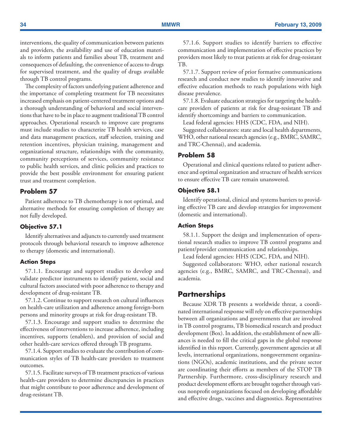interventions, the quality of communication between patients and providers, the availability and use of education materials to inform patients and families about TB, treatment and consequences of defaulting, the convenience of access to drugs for supervised treatment, and the quality of drugs available through TB control programs.

The complexity of factors underlying patient adherence and the importance of completing treatment for TB necessitates increased emphasis on patient-centered treatment options and a thorough understanding of behavioral and social interventions that have to be in place to augment traditional TB control approaches. Operational research to improve care programs must include studies to characterize TB health services, case and data management practices, staff selection, training and retention incentives, physician training, management and organizational structure, relationships with the community, community perceptions of services, community resistance to public health services, and clinic policies and practices to provide the best possible environment for ensuring patient trust and treatment completion.

## **Problem 57**

Patient adherence to TB chemotherapy is not optimal, and alternative methods for ensuring completion of therapy are not fully developed.

### **Objective 57.1**

Identify alternatives and adjuncts to currently used treatment protocols through behavioral research to improve adherence to therapy (domestic and international).

#### **Action Steps**

57.1.1. Encourage and support studies to develop and validate predictor instruments to identify patient, social and cultural factors associated with poor adherence to therapy and development of drug-resistant TB.

57.1.2. Continue to support research on cultural influences on health-care utilization and adherence among foreign-born persons and minority groups at risk for drug-resistant TB.

57.1.3. Encourage and support studies to determine the effectiveness of interventions to increase adherence, including incentives, supports (enablers), and provision of social and other health-care services offered through TB programs.

57.1.4. Support studies to evaluate the contribution of communication styles of TB health-care providers to treatment outcomes.

57.1.5. Facilitate surveys of TB treatment practices of various health-care providers to determine discrepancies in practices that might contribute to poor adherence and development of drug-resistant TB.

57.1.6. Support studies to identify barriers to effective communication and implementation of effective practices by providers most likely to treat patients at risk for drug-resistant TB.

57.1.7. Support review of prior formative communications research and conduct new studies to identify innovative and effective education methods to reach populations with high disease prevalence.

57.1.8. Evaluate education strategies for targeting the healthcare providers of patients at risk for drug-resistant TB and identify shortcomings and barriers to communication.

Lead federal agencies: HHS (CDC, FDA, and NIH).

Suggested collaborators: state and local health departments, WHO, other national research agencies (e.g., BMRC, SAMRC, and TRC-Chennai), and academia.

## **Problem 58**

Operational and clinical questions related to patient adherence and optimal organization and structure of health services to ensure effective TB care remain unanswered.

#### **Objective 58.1**

Identify operational, clinical and systems barriers to providing effective TB care and develop strategies for improvement (domestic and international).

#### **Action Steps**

58.1.1. Support the design and implementation of operational research studies to improve TB control programs and patient/provider communication and relationships.

Lead federal agencies: HHS (CDC, FDA, and NIH).

Suggested collaborators: WHO, other national research agencies (e.g., BMRC, SAMRC, and TRC-Chennai), and academia.

## **Partnerships**

Because XDR TB presents a worldwide threat, a coordinated international response will rely on effective partnerships between all organizations and governments that are involved in TB control programs, TB biomedical research and product development (Box). In addition, the establishment of new alliances is needed to fill the critical gaps in the global response identified in this report. Currently, government agencies at all levels, international organizations, nongovernment organizations (NGOs), academic institutions, and the private sector are coordinating their efforts as members of the STOP TB Partnership. Furthermore, cross-disciplinary research and product development efforts are brought together through various nonprofit organizations focused on developing affordable and effective drugs, vaccines and diagnostics. Representatives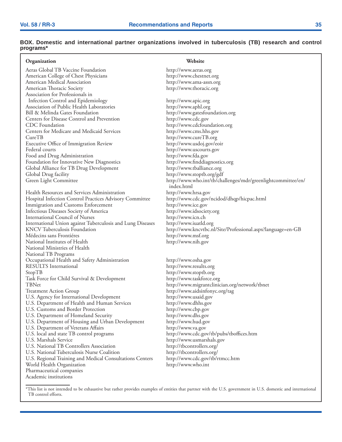## **BOX. Domestic and international partner organizations involved in tuberculosis (TB) research and control programs\***

| Organization                                               | Website                                                      |
|------------------------------------------------------------|--------------------------------------------------------------|
| Aeras Global TB Vaccine Foundation                         | http://www.aeras.org                                         |
| American College of Chest Physicians                       | http://www.chestnet.org                                      |
| American Medical Association                               | http://www.ama-assn.org                                      |
| American Thoracic Society                                  | http://www.thoracic.org                                      |
| Association for Professionals in                           |                                                              |
| Infection Control and Epidemiology                         | http://www.apic.org                                          |
| Association of Public Health Laboratories                  | http://www.aphl.org                                          |
| Bill & Melinda Gates Foundation                            | http://www.gatesfoundation.org                               |
| Centers for Disease Control and Prevention                 | http://www.cdc.gov                                           |
| CDC Foundation                                             | http://www.cdcfoundation.org                                 |
| Centers for Medicare and Medicaid Services                 | http://www.cms.hhs.gov                                       |
| CureTB                                                     | http://www.cureTB.org                                        |
| <b>Executive Office of Immigration Review</b>              | http://www.usdoj.gov/eoir                                    |
| Federal courts                                             | http://www.uscourts.gov                                      |
| Food and Drug Administration                               | http://www.fda.gov                                           |
| Foundation for Innovative New Diagnostics                  | http://www.finddiagnostics.org                               |
| Global Alliance for TB Drug Development                    | http://www.tballiance.org                                    |
| Global Drug facility                                       | http://www.stoptb.org/gdf                                    |
| Green Light Committee                                      | http://www.who.int/tb/challenges/mdr/greenlightcommittee/en/ |
|                                                            | index.html                                                   |
| Health Resources and Services Administration               | http://www.hrsa.gov                                          |
| Hospital Infection Control Practices Advisory Committee    | http://www.cdc.gov/ncidod/dhqp/hicpac.html                   |
| Immigration and Customs Enforcement                        | http://www.ice.gov                                           |
| Infectious Diseases Society of America                     | http://www.idsociety.org                                     |
| International Council of Nurses                            | http://www.icn.ch                                            |
| International Union against Tuberculosis and Lung Diseases | http://www.iuatld.org                                        |
| <b>KNCV</b> Tuberculosis Foundation                        | http://www.kncvtbc.nl/Site/Professional.aspx?language=en-GB  |
| Médecins sans Frontiéres                                   | http://www.msf.org                                           |
| National Institutes of Health                              | http://www.nih.gov                                           |
| National Ministries of Health                              |                                                              |
| National TB Programs                                       |                                                              |
| Occupational Health and Safety Administration              | http://www.osha.gov                                          |
| RESULTS International                                      | http://www.results.org                                       |
| StopTB                                                     | http://www.stoptb.org                                        |
| Task Force for Child Survival & Development                | http://www.taskforce.org                                     |
| <b>TBNet</b>                                               | http://www.migrantclinician.org/network/tbnet                |
| <b>Treatment Action Group</b>                              | http://www.aidsinfonyc.org/tag                               |
| U.S. Agency for International Development                  | http://www.usaid.gov                                         |
| U.S. Department of Health and Human Services               | http://www.dhhs.gov                                          |
| U.S. Customs and Border Protection                         | http://www.cbp.gov                                           |
| U.S. Department of Homeland Security                       | http://www.dhs.gov                                           |
| U.S. Department of Housing and Urban Development           | http://www.hud.gov                                           |
| U.S. Department of Veterans Affairs                        | http://www.va.gov                                            |
| U.S. local and state TB control programs                   | http://www.cdc.gov/tb/pubs/tboffices.htm                     |
| U.S. Marshals Service                                      | http://www.usmarshals.gov                                    |
| U.S. National TB Controllers Association                   | http://tbcontrollers.org/                                    |
| U.S. National Tuberculosis Nurse Coalition                 | http://tbcontrollers.org/                                    |
| U.S. Regional Training and Medical Consultations Centers   | http://www.cdc.gov/tb/rtmcc.htm                              |
| World Health Organization                                  | http://www.who.int                                           |
| Pharmaceutical companies                                   |                                                              |
| Academic institutions                                      |                                                              |

<sup>\*</sup>This list is not intended to be exhaustive but rather provides examples of entities that partner with the U.S. government in U.S. domestic and international TB control efforts.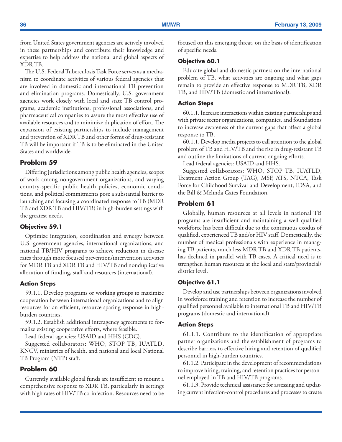from United States government agencies are actively involved in these partnerships and contribute their knowledge and expertise to help address the national and global aspects of XDR TB.

The U.S. Federal Tuberculosis Task Force serves as a mechanism to coordinate activities of various federal agencies that are involved in domestic and international TB prevention and elimination programs. Domestically, U.S. government agencies work closely with local and state TB control programs, academic institutions, professional associations, and pharmaceutical companies to assure the most effective use of available resources and to minimize duplication of effort. The expansion of existing partnerships to include management and prevention of XDR TB and other forms of drug-resistant TB will be important if TB is to be eliminated in the United States and worldwide.

## **Problem 59**

Differing jurisdictions among public health agencies, scopes of work among nongovernment organizations, and varying country-specific public health policies, economic conditions, and political commitments pose a substantial barrier to launching and focusing a coordinated response to TB (MDR TB and XDR TB and HIV/TB) in high-burden settings with the greatest needs.

### **Objective 59.1**

Optimize integration, coordination and synergy between U.S. government agencies, international organizations, and national TB/HIV programs to achieve reduction in disease rates through more focused prevention/intervention activities for MDR TB and XDR TB and HIV/TB and nonduplicative allocation of funding, staff and resources (international).

### **Action Steps**

59.1.1. Develop programs or working groups to maximize cooperation between international organizations and to align resources for an efficient, resource sparing response in highburden countries.

59.1.2. Establish additional interagency agreements to formalize existing cooperative efforts, where feasible.

Lead federal agencies: USAID and HHS (CDC).

Suggested collaborators: WHO, STOP TB, IUATLD, KNCV, ministries of health, and national and local National TB Program (NTP) staff.

## **Problem 60**

Currently available global funds are insufficient to mount a comprehensive response to XDR TB, particularly in settings with high rates of HIV/TB co-infection. Resources need to be

focused on this emerging threat, on the basis of identification of specific needs.

### **Objective 60.1**

Educate global and domestic partners on the international problem of TB, what activities are ongoing and what gaps remain to provide an effective response to MDR TB, XDR TB, and HIV/TB (domestic and international).

#### **Action Steps**

60.1.1. Increase interactions within existing partnerships and with private sector organizations, companies, and foundations to increase awareness of the current gaps that affect a global response to TB.

60.1.1. Develop media projects to call attention to the global problem of TB and HIV/TB and the rise in drug-resistant TB and outline the limitations of current ongoing efforts.

Lead federal agencies: USAID and HHS.

Suggested collaborators: WHO, STOP TB, IUATLD, Treatment Action Group (TAG), MSF, ATS, NTCA, Task Force for Childhood Survival and Development, IDSA, and the Bill & Melinda Gates Foundation.

## **Problem 61**

Globally, human resources at all levels in national TB programs are insufficient and maintaining a well qualified workforce has been difficult due to the continuous exodus of qualified, experienced TB and/or HIV staff. Domestically, the number of medical professionals with experience in managing TB patients, much less MDR TB and XDR TB patients, has declined in parallel with TB cases. A critical need is to strengthen human resources at the local and state/provincial/ district level.

#### **Objective 61.1**

Develop and use partnerships between organizations involved in workforce training and retention to increase the number of qualified personnel available to international TB and HIV/TB programs (domestic and international).

#### **Action Steps**

61.1.1. Contribute to the identification of appropriate partner organizations and the establishment of programs to describe barriers to effective hiring and retention of qualified personnel in high-burden countries.

61.1.2. Participate in the development of recommendations to improve hiring, training, and retention practices for personnel employed in TB and HIV/TB programs.

61.1.3. Provide technical assistance for assessing and updating current infection-control procedures and processes to create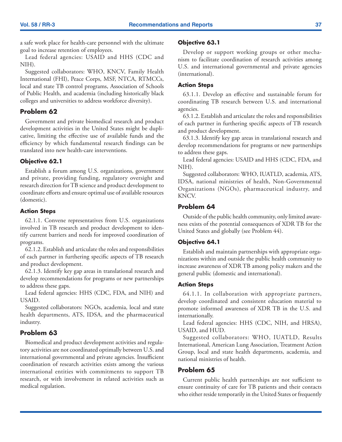a safe work place for health-care personnel with the ultimate goal to increase retention of employees.

Lead federal agencies: USAID and HHS (CDC and NIH).

Suggested collaborators: WHO, KNCV, Family Health International (FHI), Peace Corps, MSF, NTCA, RTMCCs, local and state TB control programs, Association of Schools of Public Health, and academia (including historically black colleges and universities to address workforce diversity).

## **Problem 62**

Government and private biomedical research and product development activities in the United States might be duplicative, limiting the effective use of available funds and the efficiency by which fundamental research findings can be translated into new health-care interventions.

## **Objective 62.1**

Establish a forum among U.S. organizations, government and private, providing funding, regulatory oversight and research direction for TB science and product development to coordinate efforts and ensure optimal use of available resources (domestic).

### **Action Steps**

62.1.1. Convene representatives from U.S. organizations involved in TB research and product development to identify current barriers and needs for improved coordination of programs.

62.1.2. Establish and articulate the roles and responsibilities of each partner in furthering specific aspects of TB research and product development.

62.1.3. Identify key gap areas in translational research and develop recommendations for programs or new partnerships to address these gaps.

Lead federal agencies: HHS (CDC, FDA, and NIH) and USAID.

Suggested collaborators: NGOs, academia, local and state health departments, ATS, IDSA, and the pharmaceutical industry.

## **Problem 63**

Biomedical and product development activities and regulatory activities are not coordinated optimally between U.S. and international governmental and private agencies. Insufficient coordination of research activities exists among the various international entities with commitments to support TB research, or with involvement in related activities such as medical regulation.

### **Objective 63.1**

Develop or support working groups or other mechanism to facilitate coordination of research activities among U.S. and international governmental and private agencies (international).

#### **Action Steps**

63.1.1. Develop an effective and sustainable forum for coordinating TB research between U.S. and international agencies.

63.1.2. Establish and articulate the roles and responsibilities of each partner in furthering specific aspects of TB research and product development.

63.1.3. Identify key gap areas in translational research and develop recommendations for programs or new partnerships to address these gaps.

Lead federal agencies: USAID and HHS (CDC, FDA, and NIH).

Suggested collaborators: WHO, IUATLD, academia, ATS, IDSA, national ministries of health, Non-Governmental Organizations (NGOs), pharmaceutical industry, and KNCV.

## **Problem 64**

Outside of the public health community, only limited awareness exists of the potential consequences of XDR TB for the United States and globally (see Problem 44).

### **Objective 64.1**

Establish and maintain partnerships with appropriate organizations within and outside the public health community to increase awareness of XDR TB among policy makers and the general public (domestic and international).

## **Action Steps**

64.1.1. In collaboration with appropriate partners, develop coordinated and consistent education material to promote informed awareness of XDR TB in the U.S. and internationally.

Lead federal agencies: HHS (CDC, NIH, and HRSA), USAID, and HUD.

Suggested collaborators: WHO, IUATLD, Results International, American Lung Association, Treatment Action Group, local and state health departments, academia, and national ministries of health.

## **Problem 65**

Current public health partnerships are not sufficient to ensure continuity of care for TB patients and their contacts who either reside temporarily in the United States or frequently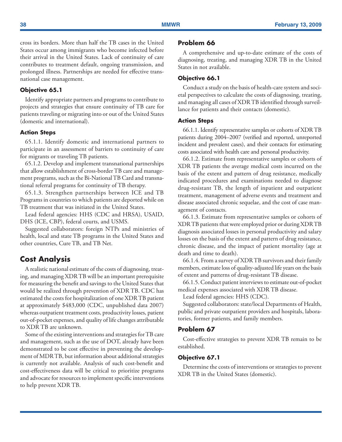cross its borders. More than half the TB cases in the United States occur among immigrants who become infected before their arrival in the United States. Lack of continuity of care contributes to treatment default, ongoing transmission, and prolonged illness. Partnerships are needed for effective transnational case management.

## **Objective 65.1**

Identify appropriate partners and programs to contribute to projects and strategies that ensure continuity of TB care for patients traveling or migrating into or out of the United States (domestic and international).

## **Action Steps**

65.1.1. Identify domestic and international partners to participate in an assessment of barriers to continuity of care for migrants or traveling TB patients.

65.1.2. Develop and implement transnational partnerships that allow establishment of cross-border TB care and management programs, such as the Bi-National TB Card and transnational referral programs for continuity of TB therapy.

65.1.3. Strengthen partnerships between ICE and TB Programs in countries to which patients are deported while on TB treatment that was initiated in the United States.

Lead federal agencies: HHS (CDC and HRSA), USAID, DHS (ICE, CBP), federal courts, and USMS.

Suggested collaborators: foreign NTPs and ministries of health, local and state TB programs in the United States and other countries, Cure TB, and TB Net.

## **Cost Analysis**

A realistic national estimate of the costs of diagnosing, treating, and managing XDR TB will be an important prerequisite for measuring the benefit and savings to the United States that would be realized through prevention of XDR TB. CDC has estimated the costs for hospitalization of one XDR TB patient at approximately \$483,000 (CDC, unpublished data 2007) whereas outpatient treatment costs, productivity losses, patient out-of-pocket expenses, and quality of life changes attributable to XDR TB are unknown.

Some of the existing interventions and strategies for TB care and management, such as the use of DOT, already have been demonstrated to be cost effective in preventing the development of MDR TB, but information about additional strategies is currently not available. Analysis of such cost-benefit and cost-effectiveness data will be critical to prioritize programs and advocate for resources to implement specific interventions to help prevent XDR TB.

## **Problem 66**

A comprehensive and up-to-date estimate of the costs of diagnosing, treating, and managing XDR TB in the United States in not available.

## **Objective 66.1**

Conduct a study on the basis of health-care system and societal perspectives to calculate the costs of diagnosing, treating, and managing all cases of XDR TB identified through surveillance for patients and their contacts (domestic).

#### **Action Steps**

66.1.1. Identify representative samples or cohorts of XDR TB patients during 2004–2007 (verified and reported, unreported incident and prevalent cases), and their contacts for estimating costs associated with health care and personal productivity.

66.1.2. Estimate from representative samples or cohorts of XDR TB patients the average medical costs incurred on the basis of the extent and pattern of drug resistance, medically indicated procedures and examinations needed to diagnose drug-resistant TB, the length of inpatient and outpatient treatment, management of adverse events and treatment and disease associated chronic sequelae, and the cost of case management of contacts.

66.1.3. Estimate from representative samples or cohorts of XDR TB patients that were employed prior or during XDR TB diagnosis associated losses in personal productivity and salary losses on the basis of the extent and pattern of drug resistance, chronic disease, and the impact of patient mortality (age at death and time to death).

66.1.4. From a survey of XDR TB survivors and their family members, estimate loss of quality-adjusted life years on the basis of extent and patterns of drug-resistant TB disease.

66.1.5. Conduct patient interviews to estimate out-of-pocket medical expenses associated with XDR TB disease.

Lead federal agencies: HHS (CDC).

Suggested collaborators: state/local Departments of Health, public and private outpatient providers and hospitals, laboratories, former patients, and family members.

## **Problem 67**

Cost-effective strategies to prevent XDR TB remain to be established.

### **Objective 67.1**

Determine the costs of interventions or strategies to prevent XDR TB in the United States (domestic).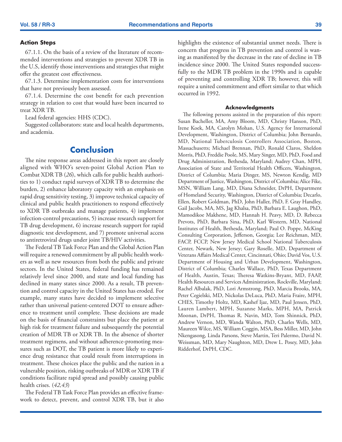## <span id="page-40-0"></span>**Action Steps**

67.1.1. On the basis of a review of the literature of recommended interventions and strategies to prevent XDR TB in the U.S, identify those interventions and strategies that might offer the greatest cost effectiveness.

67.1.3. Determine implementation costs for interventions that have not previously been assessed.

67.1.4. Determine the cost benefit for each prevention strategy in relation to cost that would have been incurred to treat XDR TB.

Lead federal agencies: HHS (CDC).

Suggested collaborators: state and local health departments, and academia.

## **Conclusion**

The nine response areas addressed in this report are closely aligned with WHO's seven-point Global Action Plan to Combat XDR TB (*26*), which calls for public health authorities to 1) conduct rapid surveys of XDR TB to determine the burden, 2) enhance laboratory capacity with an emphasis on rapid drug sensitivity testing, 3) improve technical capacity of clinical and public health practitioners to respond effectively to XDR TB outbreaks and manage patients, 4) implement infection-control precautions, 5) increase research support for TB drug development, 6) increase research support for rapid diagnostic test development, and 7) promote universal access to antiretroviral drugs under joint TB/HIV activities.

The Federal TB Task Force Plan and the Global Action Plan will require a renewed commitment by all public health workers as well as new resources from both the public and private sectors. In the United States, federal funding has remained relatively level since 2000, and state and local funding has declined in many states since 2000. As a result, TB prevention and control capacity in the United States has eroded. For example, many states have decided to implement selective rather than universal patient-centered DOT to ensure adherence to treatment until complete. These decisions are made on the basis of financial constraints but place the patient at high risk for treatment failure and subsequently the potential creation of MDR TB or XDR TB. In the absence of shorter treatment regimens, and without adherence-promoting measures such as DOT, the TB patient is more likely to experience drug resistance that could result from interruptions in treatment. These choices place the public and the nation in a vulnerable position, risking outbreaks of MDR or XDR TB if conditions facilitate rapid spread and possibly causing public health crises. (*42,43*)

The Federal TB Task Force Plan provides an effective framework to detect, prevent, and control XDR TB, but it also highlights the existence of substantial unmet needs. There is concern that progress in TB prevention and control is waning as manifested by the decrease in the rate of decline in TB incidence since 2000. The United States responded successfully to the MDR TB problem in the 1990s and is capable of preventing and controlling XDR TB; however, this will require a united commitment and effort similar to that which occurred in 1992.

#### **Acknowledgments**

The following persons assisted in the preparation of this report: Susan Bacheller, MA, Amy Bloom, MD, Christy Hanson, PhD, Irene Koek, MA, Carolyn Mohan, U.S. Agency for International Development, Washington, District of Columbia; John Bernardo, MD, National Tuberculosis Controllers Association, Boston, Massachusetts; Michael Brennan, PhD, Ronald Claros, Sheldon Morris, PhD, Freddie Poole, MS, Mary Singer, MD, PhD, Food and Drug Administration, Bethesda, Maryland; Audrey Chan, MPH, Association of State and Territorial Health Officers, Washington, District of Columbia; Maria Dinger, MS, Newton Kendig, MD Department of Justice, Washington, District of Columbia; Alice Fike, MSN, William Lang, MD, Diana Schneider, DrPH, Department of Homeland Security, Washington, District of Columbia; Decarlo, Ellen, Robert Goldman, PhD, John Haller, PhD, F. Gray Handley, Gail Jacobs, MA, MS, Jag Khalsa, PhD, Barbara E. Laughon, PhD, Mamodikoe Makhene, MD, Hannah H. Peavy, MD, D. Rebecca Prevots, PhD, Barbara Sina, PhD, Karl Western, MD, National Institutes of Health, Bethesda, Maryland; Paul O. Poppe, McKing Consulting Corporation, Jefferson, Georgia; Lee Reichman, MD, FACP, FCCP, New Jersey Medical School National Tuberculosis Center, Newark, New Jersey; Gary Roselle, MD, Department of Veterans Affairs Medical Center, Cincinnati, Ohio; David Vos, U.S. Department of Housing and Urban Development, Washington, District of Columbia; Charles Wallace, PhD, Texas Department of Health, Austin, Texas; Theresa Watkins-Bryant, MD, FAAP, Health Resources and Services Administration, Rockville, Maryland; Rachel Albalak, PhD, Lori Armstrong, PhD, Marcia Brooks, MA, Peter Cegielski, MD, Nickolas DeLuca, PhD, Maria Fraire, MPH, CHES, Timothy Holtz, MD, Kashef Ijaz, MD, Paul Jensen, PhD, Lauren Lambert, MPH, Suzanne Marks, MPH, MA, Patrick Moonan, DrPH, Thomas R. Navin, MD, Tom Shinnick, PhD, Andrew Vernon, MD, Wanda Walton, PhD, Charles Wells, MD, Maureen Wilce, MS, William Coggin, MSA, Bess Miller, MD, John Nkengasong, Linda Parsons, Steve Martin, Teri Palermo, David N. Weissman, MD, Mary Naughton, MD, Drew L. Posey, MD, John Ridderhof, DrPH, CDC.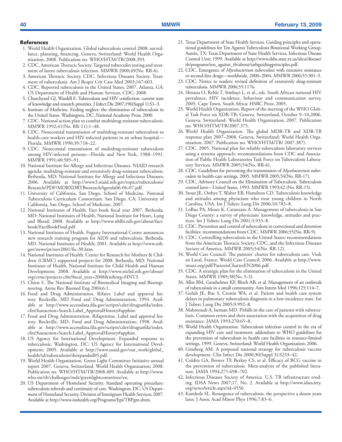#### **References**

- 1. World Health Organization. Global tuberculosis control 2008: surveillance, planning, financing. Geneva, Switzerland: World Health Organization; 2008. Publication no. WHO/HTM/TB/2008.393.
- 2. CDC, American Thoracic Society. Targeted tuberculin testing and treatment of latent tuberculosis infection. MMWR 2000;49(No. RR-6).
- 3. American Thoracic Society, CDC, Infectious Diseases Society. Treatment of tuberculosis. Am J Respir Crit Care Med 2003;167:603.
- 4. CDC. Reported tuberculosis in the United States, 2007. Atlanta, GA: US Department of Health and Human Services, CDC; 2008.
- 5. Churchyard GJ, Wardell E. Tuberculosis and HIV coinfection: current state of knowledge and research priorities. J Infect Dis 2007;196(Suppl 1):S1–3.
- 6. Institute of Medicine. Ending neglect: the elimination of tuberculosis in the United States. Washington, DC: National Academy Press; 2000.
- 7. CDC. National action plan to combat multidrug-resistant tuberculosis. MMWR 1992;41(No. RR-11):1–48.
- 8. CDC. Nosocomial transmission of multidrug-resistant tuberculosis to health-care workers and HIV-infected patients in an urban hospital— Florida. MMWR 1990;39:718–22.
- 9. CDC. Nosocomial transmission of multidrug-resistant tuberculosis among HIV-infected persons—Florida and New York, 1988–1991. MMWR 1991;40:585–91.
- 10. National Institute for Allergy and Infectious Diseases. NIAID research agenda: multidrug-resistant and extensively drug-resistant tuberculosis. Bethesda, MD: National Institute for Allergy and Infectious Diseases; 2006. Available at [http://www3.niaid.nih.gov/topics/tuberculosis/](http://www3.niaid.nih.gov/topics/tuberculosis/Research/PDF/MDRXDRTBresearchAgenda06-06-07.pdf.) [Research/PDF/MDRXDRTBresearchAgenda06-06-07.pdf.](http://www3.niaid.nih.gov/topics/tuberculosis/Research/PDF/MDRXDRTBresearchAgenda06-06-07.pdf.)
- 11. University of California, San Diego, School of Medicine. National Tuberculosis Curriculum Consortium. San Diego, CA: University of California, San Diego, School of Medicine; 2007.
- 12. National Institutes of Health. Fact book fiscal year 2007. Bethesda, MD: National Institutes of Health, National Institute for Heart, Lung and Blood; 2008. Available at [http://www.nhlbi.nih.gov/about/fact](http://www.nhlbi.nih.gov/about/factbook/FactBookFinal.pdf)[book/FactBookFinal.pdf](http://www.nhlbi.nih.gov/about/factbook/FactBookFinal.pdf).
- 13. National Institutes of Health. Fogarty International Center announces new research training program for AIDS and tuberculosis. Bethesda, MD. National Institutes of Health; 2001. Available at [http://www.nih.](http://www.nih.gov/news/pr/nov2001/fic-30.htm) [gov/news/pr/nov2001/fic-30.htm.](http://www.nih.gov/news/pr/nov2001/fic-30.htm)
- 14. National Institutes of Health. Center for Research for Mothers & Children (CRMC) supported projects for 2008. Bethesda, MD: National Institutes of Health, National Institute for Child Health and Human Development; 2008. Available at [http://www.nichd.nih.gov/about/](http://www.nichd.nih.gov/about/org/crmc/projects.cfm?fiscal_year=2008&nihorg=HNT3) [org/crmc/projects.cfm?fiscal\\_year=2008&nihorg=HNT3](http://www.nichd.nih.gov/about/org/crmc/projects.cfm?fiscal_year=2008&nihorg=HNT3).
- 15. Chien S. The National Institute of Biomedical Imaging and Bioengineering. Annu Rev Biomed Eng 2004;6:1.
- 16. Food and Drug Administration. Rifater. Label and approval history. Rockville, MD Food and Drug Administration; 1994. Available at [http://www.accessdata.fda.gov/scripts/cder/drugsatfda/index.](http://www.accessdata.fda.gov/scripts/cder/drugsatfda/index.cfm?fuseaction=Search.Label_ApprovalHistory#apphist) [cfm?fuseaction=Search.Label\\_ApprovalHistory#apphist](http://www.accessdata.fda.gov/scripts/cder/drugsatfda/index.cfm?fuseaction=Search.Label_ApprovalHistory#apphist).
- 17. Food and Drug Administration. Rifapentine. Label and approval history. Rockville, MD. Food and Drug Administration; 1998. Available at [http://www.accessdata.fda.gov/scripts/cder/drugsatfda/index.](http://www.accessdata.fda.gov/scripts/cder/drugsatfda/index.cfm?fuseaction=Search.Label_ApprovalHistory#apphist) [cfm?fuseaction=Search.Label\\_ApprovalHistory#apphist](http://www.accessdata.fda.gov/scripts/cder/drugsatfda/index.cfm?fuseaction=Search.Label_ApprovalHistory#apphist).
- 18. US Agency for International Development. Expanded response to tuberculosis. Washington, DC: US Agency for International Development; 2005. Available at [http://www.usaid.gov/our\\_work/global\\_](http://www.usaid.gov/our_work/global_health/id/tuberculosis/tbexpanded05.pdf) [health/id/tuberculosis/tbexpanded05.pdf](http://www.usaid.gov/our_work/global_health/id/tuberculosis/tbexpanded05.pdf).
- 19. World Health Organization. Green Light Committee Initiative annual report 2007. Geneva, Switzerland. World Health Organization; 2008. Publication no. WHO/HTM/TB/2008.409. Available at [http://www.](http://www.who.int/tb/challenges/mdr/greenlightcommittee/en/) [who.int/tb/challenges/mdr/greenlightcommittee/en](http://www.who.int/tb/challenges/mdr/greenlightcommittee/en/).
- 20. US Department of Homeland Security. Standard operating procedure: tuberculosis referrals and continuity of care. Washington, DC: US Department of Homeland Security, Division of Immigrant Health Services; 2007. Available at<http://www.inshealth.org/Programs/Epi/TBPgm.shtm>.
- 21. Texas Department of State Health Services. Guiding principles and operational guidelines for Ten Against Tuberculosis Binational Working Group. Austin, TX: Texas Department of State Health Services, Infectious Disease Control Unit; 1999. Available at [http://www.dshs.state.tx.us/idcu/disease/](http://www.dshs.state.tx.us/idcu/disease/tb/programs/ten_against_tb/about/tatbguidingprinciples.pdf) [tb/programs/ten\\_against\\_tb/about/tatbguidingprinciples.pdf](http://www.dshs.state.tx.us/idcu/disease/tb/programs/ten_against_tb/about/tatbguidingprinciples.pdf).
- 22. CDC. Emergence of *Mycobacterium tuberculosis* with extensive resistance to second-line drugs—worldwide, 2000–2004. MMWR 2006;55:301–5.
- 23. CDC. Notice to readers: revised definition of extensively drug-resistant tuberculosis. MMWR 2006;55:1176.
- 24. Shisana O, Rehle T, Simbayi L, et al., eds. South African national HIV prevalence, HIV incidence, behaviour and communication survey, 2005. Cape Town, South Africa: HSRC Press; 2005.
- 25. World Health Organization. Report of the meeting of the WHO Global Task Force on XDR-TB; Geneva, Switzerland, October 9–10,2006. Geneva, Switzerland: World Health Organization; 2007. Publication no. WHO/HTM/TB/2007.375.
- 26. World Health Organization. The global MDR-TB and XDR-TB response plan 2007–2008. Geneva, Switzerland: World Health Organization; 2007. Publication no. WHO/HTM/TB/ 2007.387).
- 27. CDC. 2005. National plan for reliable tuberculosis laboratory services using a systems approach: recommendations from CDC and Association of Public Health Laboratories Task Force on Tuberculosis Laboratory Services. MMWR 2005;54(No. RR-6).
- 28. CDC. Guidelines for preventing the transmission of *Mycobacterium tuberculosis* in health-care settings, 2005. MMWR 2005;54(No. RR-17).
- 29. CDC, Advisory Council on the Elimination of Tuberculosis. Tuberculosis control laws—United States, 1993. MMWR 1993;42 (No. RR-15).
- 30. Stout JE, Ostbye T, Walter EB, Hamilton CD. Tuberculosis knowledge and attitudes among physicians who treat young children in North Carolina, USA. Int J Tuberc Lung Dis 2006;10:783–8.
- 31. LoBue PA, Moser K, Catanzaro A. Management of tuberculosis in San Diego County: a survey of physicians' knowledge, attitudes and practices. Int J Tuberc Lung Dis 2001;5:933–8.
- 32. CDC. Prevention and control of tuberculosis in correctional and detention facilities: recommendations from CDC. MMWR 2006;55(No. RR-9).
- 33. CDC. Controlling tuberculosis in the United States: recommendations from the American Thoracic Society, CDC, and the Infectious Diseases Society of America. MMWR 2005;54(No. RR-12).
- 34. World Care Council. The patients' charter for tuberculosis care. Viols en Laval, France: World Care Council; 2006. Available at [http://www.](http://www.imaxi.org/pdf/PatientsCharterEN2006.pdf) [imaxi.org/pdf/PatientsCharterEN2006.pdf.](http://www.imaxi.org/pdf/PatientsCharterEN2006.pdf)
- 35. CDC. A strategic plan for the elimination of tuberculosis in the United States. MMWR 1989;38(No. S-3).
- 36. Allos BM, Genshelmer KF, Bloch AB, et al. Management of an outbreak of tuberculosis in a small community. Ann Intern Med 1996;125:114–7.
- 37. Golub JE, Bur S, Cronin WA, et al. Patient and health care system delays in pulmonary tuberculosis diagnosis in a low-incidence state. Int J Tuberc Lung Dis 2005;9:992–8.
- 38. Mahmoudi A, Iseman MD. Pitfalls in the care of patients with tuberculosis. Common errors and their association with the acquisition of drug resistance. JAMA 1993;270:65–8.
- 39. World Health Organization. Tuberculosis infection control in the era of expanding HIV care and treatment: addendum to WHO guidelines for the prevention of tuberculosis in health care facilities in resource-limited settings, 1999. Geneva, Switzerland: World Health Organization; 2006.
- 40. Ginsberg AM. A proposed national strategy for tuberculosis vaccine development. Clin Infect Dis 2000;30(Suppl 3):S233–42.
- 41. Colditz GA, Brewer TF, Berkey CS, et al. Efficacy of BCG vaccine in the prevention of tuberculosis. Meta-analysis of the published literature. JAMA 1994;271:698–702.
- 42. Infectious Diseases Society of America. U.S. TB infrastructure eroding. IDSA News 2007;17, No. 2. Available at [http://www.idsociety.](http://www.idsociety.org/newsArticle.aspx?id=4556) [org/newsArticle.aspx?id=4556](http://www.idsociety.org/newsArticle.aspx?id=4556).
- 43. Kamholz SL. Resurgence of tuberculosis: the perspective a dozen years later. J Assoc Acad Minor Phys 1996;7:83–6.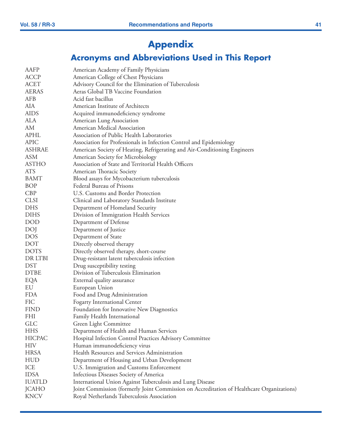# **Appendix**

# **Acronyms and Abbreviations Used in This Report**

| AAFP          | American Academy of Family Physicians                                                     |
|---------------|-------------------------------------------------------------------------------------------|
| <b>ACCP</b>   | American College of Chest Physicians                                                      |
| <b>ACET</b>   | Advisory Council for the Elimination of Tuberculosis                                      |
| <b>AERAS</b>  | Aeras Global TB Vaccine Foundation                                                        |
| <b>AFB</b>    | Acid fast bacillus                                                                        |
| AIA           | American Institute of Architects                                                          |
| <b>AIDS</b>   | Acquired immunodeficiency syndrome                                                        |
| ALA           | American Lung Association                                                                 |
| AM            | American Medical Association                                                              |
| <b>APHL</b>   | Association of Public Health Laboratories                                                 |
| <b>APIC</b>   | Association for Professionals in Infection Control and Epidemiology                       |
| <b>ASHRAE</b> | American Society of Heating, Refrigerating and Air-Conditioning Engineers                 |
| <b>ASM</b>    | American Society for Microbiology                                                         |
| <b>ASTHO</b>  | Association of State and Territorial Health Officers                                      |
| <b>ATS</b>    | American Thoracic Society                                                                 |
| <b>BAMT</b>   | Blood assays for Mycobacterium tuberculosis                                               |
| <b>BOP</b>    | Federal Bureau of Prisons                                                                 |
| <b>CBP</b>    | U.S. Customs and Border Protection                                                        |
| <b>CLSI</b>   | Clinical and Laboratory Standards Institute                                               |
| <b>DHS</b>    | Department of Homeland Security                                                           |
| <b>DIHS</b>   | Division of Immigration Health Services                                                   |
| <b>DOD</b>    | Department of Defense                                                                     |
| <b>DOJ</b>    | Department of Justice                                                                     |
| <b>DOS</b>    | Department of State                                                                       |
| <b>DOT</b>    | Directly observed therapy                                                                 |
| <b>DOTS</b>   | Directly observed therapy, short-course                                                   |
| DR LTBI       | Drug-resistant latent tuberculosis infection                                              |
| <b>DST</b>    | Drug susceptibility testing                                                               |
| <b>DTBE</b>   | Division of Tuberculosis Elimination                                                      |
| EQA           | External quality assurance                                                                |
| EU            | European Union                                                                            |
| <b>FDA</b>    | Food and Drug Administration                                                              |
| <b>FIC</b>    | <b>Fogarty International Center</b>                                                       |
| <b>FIND</b>   | Foundation for Innovative New Diagnostics                                                 |
| <b>FHI</b>    | Family Health International                                                               |
| <b>GLC</b>    | Green Light Committee                                                                     |
| <b>HHS</b>    | Department of Health and Human Services                                                   |
| <b>HICPAC</b> | Hospital Infection Control Practices Advisory Committee                                   |
| <b>HIV</b>    | Human immunodeficiency virus                                                              |
| <b>HRSA</b>   | Health Resources and Services Administration                                              |
| <b>HUD</b>    | Department of Housing and Urban Development                                               |
| ICE           | U.S. Immigration and Customs Enforcement                                                  |
| <b>IDSA</b>   | Infectious Diseases Society of America                                                    |
| <b>IUATLD</b> | International Union Against Tuberculosis and Lung Disease                                 |
| <b>JCAHO</b>  | Joint Commission (formerly Joint Commission on Accreditation of Healthcare Organizations) |
| <b>KNCV</b>   | Royal Netherlands Tuberculosis Association                                                |
|               |                                                                                           |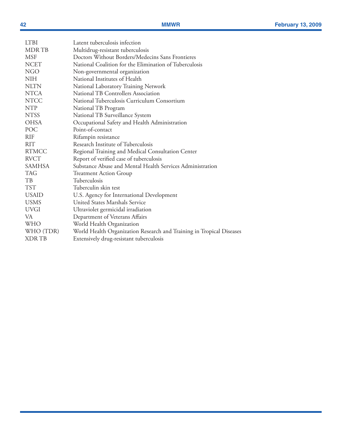| <b>ITBI</b>   | Latent tuberculosis infection                                        |
|---------------|----------------------------------------------------------------------|
| <b>MDRTB</b>  | Multidrug-resistant tuberculosis                                     |
| <b>MSF</b>    | Doctors Without Borders/Medecins Sans Frontieres                     |
| <b>NCET</b>   | National Coalition for the Elimination of Tuberculosis               |
| <b>NGO</b>    | Non-governmental organization                                        |
| <b>NIH</b>    | National Institutes of Health                                        |
| <b>NLTN</b>   | National Laboratory Training Network                                 |
| <b>NTCA</b>   | National TB Controllers Association                                  |
| <b>NTCC</b>   | National Tuberculosis Curriculum Consortium                          |
| <b>NTP</b>    | National TB Program                                                  |
| <b>NTSS</b>   | National TB Surveillance System                                      |
| <b>OHSA</b>   | Occupational Safety and Health Administration                        |
| POC           | Point-of-contact                                                     |
| <b>RIF</b>    | Rifampin resistance                                                  |
| <b>RIT</b>    | Research Institute of Tuberculosis                                   |
| <b>RTMCC</b>  | Regional Training and Medical Consultation Center                    |
| <b>RVCT</b>   | Report of verified case of tuberculosis                              |
| <b>SAMHSA</b> | Substance Abuse and Mental Health Services Administration            |
| TAG           | <b>Treatment Action Group</b>                                        |
| TB            | Tuberculosis                                                         |
| <b>TST</b>    | Tuberculin skin test                                                 |
| <b>USAID</b>  | U.S. Agency for International Development                            |
| <b>USMS</b>   | United States Marshals Service                                       |
| <b>UVGI</b>   | Ultraviolet germicidal irradiation                                   |
| VA            | Department of Veterans Affairs                                       |
| WHO           | World Health Organization                                            |
| WHO (TDR)     | World Health Organization Research and Training in Tropical Diseases |
| <b>XDRTB</b>  | Extensively drug-resistant tuberculosis                              |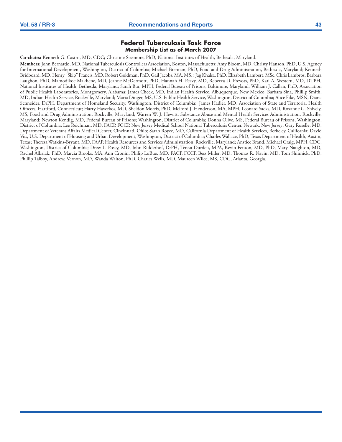#### **Federal Tuberculosis Task Force Membership List as of March 2007**

**Co-chairs:** Kenneth G. Castro, MD, CDC; Christine Sizemore, PhD, National Institutes of Health, Bethesda, Maryland.

**Members:** John Bernardo, MD, National Tuberculosis Controllers Association, Boston, Massachusetts; Amy Bloom, MD, Christy Hanson, PhD, U.S. Agency for International Development, Washington, District of Columbia; Michael Brennan, PhD, Food and Drug Administration, Bethesda, Maryland; Kenneth Bridboard, MD, Henry "Skip" Francis, MD, Robert Goldman, PhD, Gail Jacobs, MA, MS, ; Jag Khalsa, PhD, Elizabeth Lambert, MSc, Chris Lambros, Barbara Laughon, PhD, Mamodikoe Makhene, MD, Jeanne McDermott, PhD, Hannah H. Peavy, MD, Rebecca D. Prevots, PhD, Karl A. Western, MD, DTPH, National Institutes of Health, Bethesda, Maryland; Sarah Bur, MPH, Federal Bureau of Prisons, Baltimore, Maryland; William J. Callan, PhD, Association of Public Health Laboratories, Montgomery, Alabama; James Cheek, MD, Indian Health Service, Albuquerque, New Mexico; Barbara Sina, Phillip Smith, MD, Indian Health Service, Rockville, Maryland; Maria Dinger, MS, U.S. Public Health Service, Washington, District of Columbia; Alice Fike, MSN, Diana Schneider, DrPH, Department of Homeland Security, Washington, District of Columbia;; James Hadler, MD, Association of State and Territorial Health Officers, Hartford, Connecticut; Harry Haverkos, MD, Sheldon Morris, PhD, Melford J. Henderson, MA, MPH, Leonard Sacks, MD, Roxanne G. Shively, MS, Food and Drug Administration, Rockville, Maryland; Warren W. J. Hewitt, Substance Abuse and Mental Health Services Administration, Rockville, Maryland; Newton Kendig, MD, Federal Bureau of Prisons; Washington, District of Columbia; Donna Olive, MS, Federal Bureau of Prisons, Washington, District of Columbia; Lee Reichman, MD, FACP, FCCP, New Jersey Medical School National Tuberculosis Center, Newark, New Jersey; Gary Roselle, MD, Department of Veterans Affairs Medical Center, Cincinnati, Ohio; Sarah Royce, MD, California Department of Health Services, Berkeley, California; David Vos, U.S. Department of Housing and Urban Development, Washington, District of Columbia; Charles Wallace, PhD, Texas Department of Health, Austin, Texas; Theresa Watkins-Bryant, MD, FAAP, Health Resources and Services Administration, Rockville, Maryland; Anstice Brand, Michael Craig, MPH, CDC, Washington, District of Columbia; Drew L. Posey, MD, John Ridderhof, DrPH, Teresa Durden, MPA, Kevin Fenton, MD, PhD, Mary Naughton, MD, Rachel Albalak, PhD, Marcia Brooks, MA, Ann Cronin, Philip LoBue, MD, FACP, FCCP, Bess Miller, MD, Thomas R. Navin, MD, Tom Shinnick, PhD, Phillip Talboy, Andrew, Vernon, MD, Wanda Walton, PhD, Charles Wells, MD, Maureen Wilce, MS, CDC, Atlanta, Georgia.